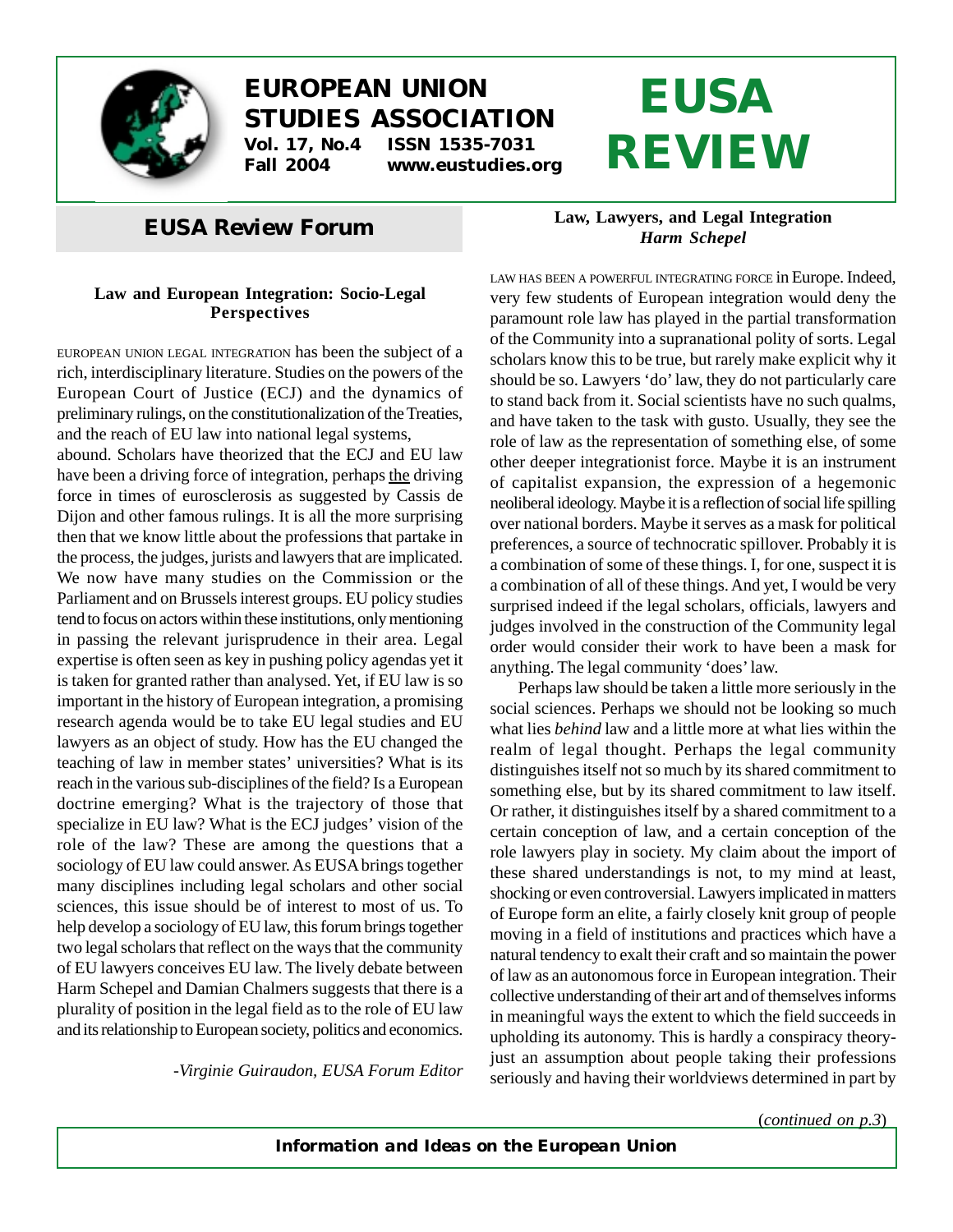

## **EUROPEAN UNION STUDIES ASSOCIATION Vol. 17, No.4 ISSN 1535-7031**

**Fall 2004 www.eustudies.org**

# **EUSA REVIEW**

### *EUSA Review* **Forum**

### **Law and European Integration: Socio-Legal Perspectives**

EUROPEAN UNION LEGAL INTEGRATION has been the subject of a rich, interdisciplinary literature. Studies on the powers of the European Court of Justice (ECJ) and the dynamics of preliminary rulings, on the constitutionalization of the Treaties, and the reach of EU law into national legal systems,

abound. Scholars have theorized that the ECJ and EU law have been a driving force of integration, perhaps the driving force in times of eurosclerosis as suggested by Cassis de Dijon and other famous rulings. It is all the more surprising then that we know little about the professions that partake in the process, the judges, jurists and lawyers that are implicated. We now have many studies on the Commission or the Parliament and on Brussels interest groups. EU policy studies tend to focus on actors within these institutions, only mentioning in passing the relevant jurisprudence in their area. Legal expertise is often seen as key in pushing policy agendas yet it is taken for granted rather than analysed. Yet, if EU law is so important in the history of European integration, a promising research agenda would be to take EU legal studies and EU lawyers as an object of study. How has the EU changed the teaching of law in member states' universities? What is its reach in the various sub-disciplines of the field? Is a European doctrine emerging? What is the trajectory of those that specialize in EU law? What is the ECJ judges' vision of the role of the law? These are among the questions that a sociology of EU law could answer. As EUSA brings together many disciplines including legal scholars and other social sciences, this issue should be of interest to most of us. To help develop a sociology of EU law, this forum brings together two legal scholars that reflect on the ways that the community of EU lawyers conceives EU law. The lively debate between Harm Schepel and Damian Chalmers suggests that there is a plurality of position in the legal field as to the role of EU law and its relationship to European society, politics and economics.

-*Virginie Guiraudon, EUSA Forum Editor*

#### **Law, Lawyers, and Legal Integration** *Harm Schepel*

LAW HAS BEEN <sup>A</sup> POWERFUL INTEGRATING FORCE in Europe. Indeed, very few students of European integration would deny the paramount role law has played in the partial transformation of the Community into a supranational polity of sorts. Legal scholars know this to be true, but rarely make explicit why it should be so. Lawyers 'do' law, they do not particularly care to stand back from it. Social scientists have no such qualms, and have taken to the task with gusto. Usually, they see the role of law as the representation of something else, of some other deeper integrationist force. Maybe it is an instrument of capitalist expansion, the expression of a hegemonic neoliberal ideology. Maybe it is a reflection of social life spilling over national borders. Maybe it serves as a mask for political preferences, a source of technocratic spillover. Probably it is a combination of some of these things. I, for one, suspect it is a combination of all of these things. And yet, I would be very surprised indeed if the legal scholars, officials, lawyers and judges involved in the construction of the Community legal order would consider their work to have been a mask for anything. The legal community 'does' law.

Perhaps law should be taken a little more seriously in the social sciences. Perhaps we should not be looking so much what lies *behind* law and a little more at what lies within the realm of legal thought. Perhaps the legal community distinguishes itself not so much by its shared commitment to something else, but by its shared commitment to law itself. Or rather, it distinguishes itself by a shared commitment to a certain conception of law, and a certain conception of the role lawyers play in society. My claim about the import of these shared understandings is not, to my mind at least, shocking or even controversial. Lawyers implicated in matters of Europe form an elite, a fairly closely knit group of people moving in a field of institutions and practices which have a natural tendency to exalt their craft and so maintain the power of law as an autonomous force in European integration. Their collective understanding of their art and of themselves informs in meaningful ways the extent to which the field succeeds in upholding its autonomy. This is hardly a conspiracy theoryjust an assumption about people taking their professions seriously and having their worldviews determined in part by

(*continued on p.3*)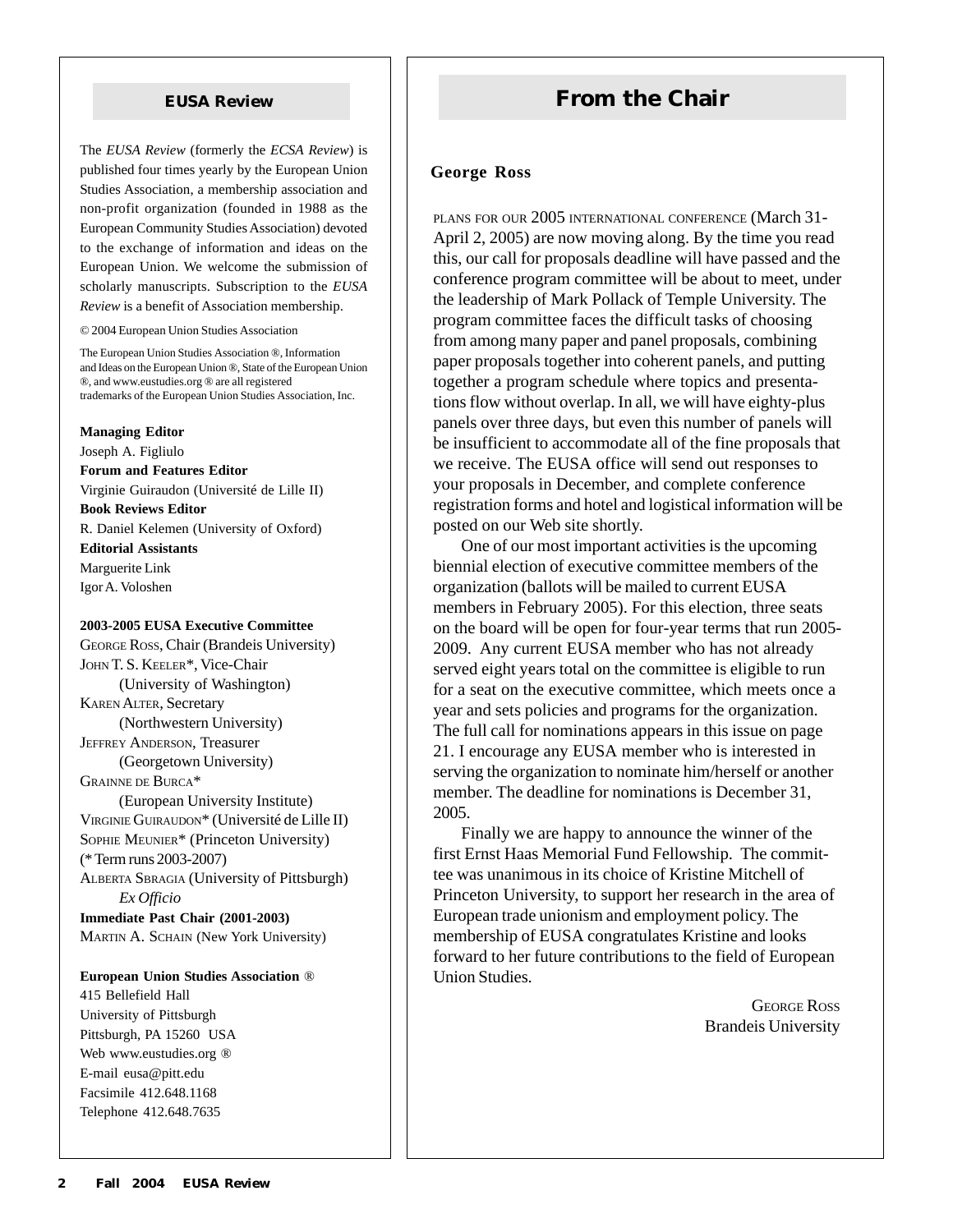The *EUSA Review* (formerly the *ECSA Review*) is published four times yearly by the European Union Studies Association, a membership association and non-profit organization (founded in 1988 as the European Community Studies Association) devoted to the exchange of information and ideas on the European Union. We welcome the submission of scholarly manuscripts. Subscription to the *EUSA Review* is a benefit of Association membership.

© 2004 European Union Studies Association

The European Union Studies Association ®, Information and Ideas on the European Union ®, State of the European Union ®, and www.eustudies.org ® are all registered trademarks of the European Union Studies Association, Inc.

#### **Managing Editor**

Joseph A. Figliulo

**Forum and Features Editor** Virginie Guiraudon (Université de Lille II)

**Book Reviews Editor** R. Daniel Kelemen (University of Oxford)

**Editorial Assistants** Marguerite Link Igor A. Voloshen

#### **2003-2005 EUSA Executive Committee**

GEORGE ROSS, Chair (Brandeis University) JOHN T. S. KEELER\*, Vice-Chair (University of Washington) KAREN ALTER, Secretary (Northwestern University) JEFFREY ANDERSON, Treasurer (Georgetown University) GRAINNE DE BURCA\* (European University Institute) VIRGINIE GUIRAUDON\* (Université de Lille II) SOPHIE MEUNIER\* (Princeton University) (\* Term runs 2003-2007)

ALBERTA SBRAGIA (University of Pittsburgh) *Ex Officio*

**Immediate Past Chair (2001-2003)** MARTIN A. SCHAIN (New York University)

#### **European Union Studies Association** ®

415 Bellefield Hall University of Pittsburgh Pittsburgh, PA 15260 USA Web www.eustudies.org ® E-mail eusa@pitt.edu Facsimile 412.648.1168 Telephone 412.648.7635

### **EUSA Review <b>From the Chair**

#### **George Ross**

PLANS FOR OUR 2005 INTERNATIONAL CONFERENCE (March 31- April 2, 2005) are now moving along. By the time you read this, our call for proposals deadline will have passed and the conference program committee will be about to meet, under the leadership of Mark Pollack of Temple University. The program committee faces the difficult tasks of choosing from among many paper and panel proposals, combining paper proposals together into coherent panels, and putting together a program schedule where topics and presentations flow without overlap. In all, we will have eighty-plus panels over three days, but even this number of panels will be insufficient to accommodate all of the fine proposals that we receive. The EUSA office will send out responses to your proposals in December, and complete conference registration forms and hotel and logistical information will be posted on our Web site shortly.

One of our most important activities is the upcoming biennial election of executive committee members of the organization (ballots will be mailed to current EUSA members in February 2005). For this election, three seats on the board will be open for four-year terms that run 2005- 2009. Any current EUSA member who has not already served eight years total on the committee is eligible to run for a seat on the executive committee, which meets once a year and sets policies and programs for the organization. The full call for nominations appears in this issue on page 21. I encourage any EUSA member who is interested in serving the organization to nominate him/herself or another member. The deadline for nominations is December 31, 2005.

Finally we are happy to announce the winner of the first Ernst Haas Memorial Fund Fellowship. The committee was unanimous in its choice of Kristine Mitchell of Princeton University, to support her research in the area of European trade unionism and employment policy. The membership of EUSA congratulates Kristine and looks forward to her future contributions to the field of European Union Studies.

> GEORGE ROSS Brandeis University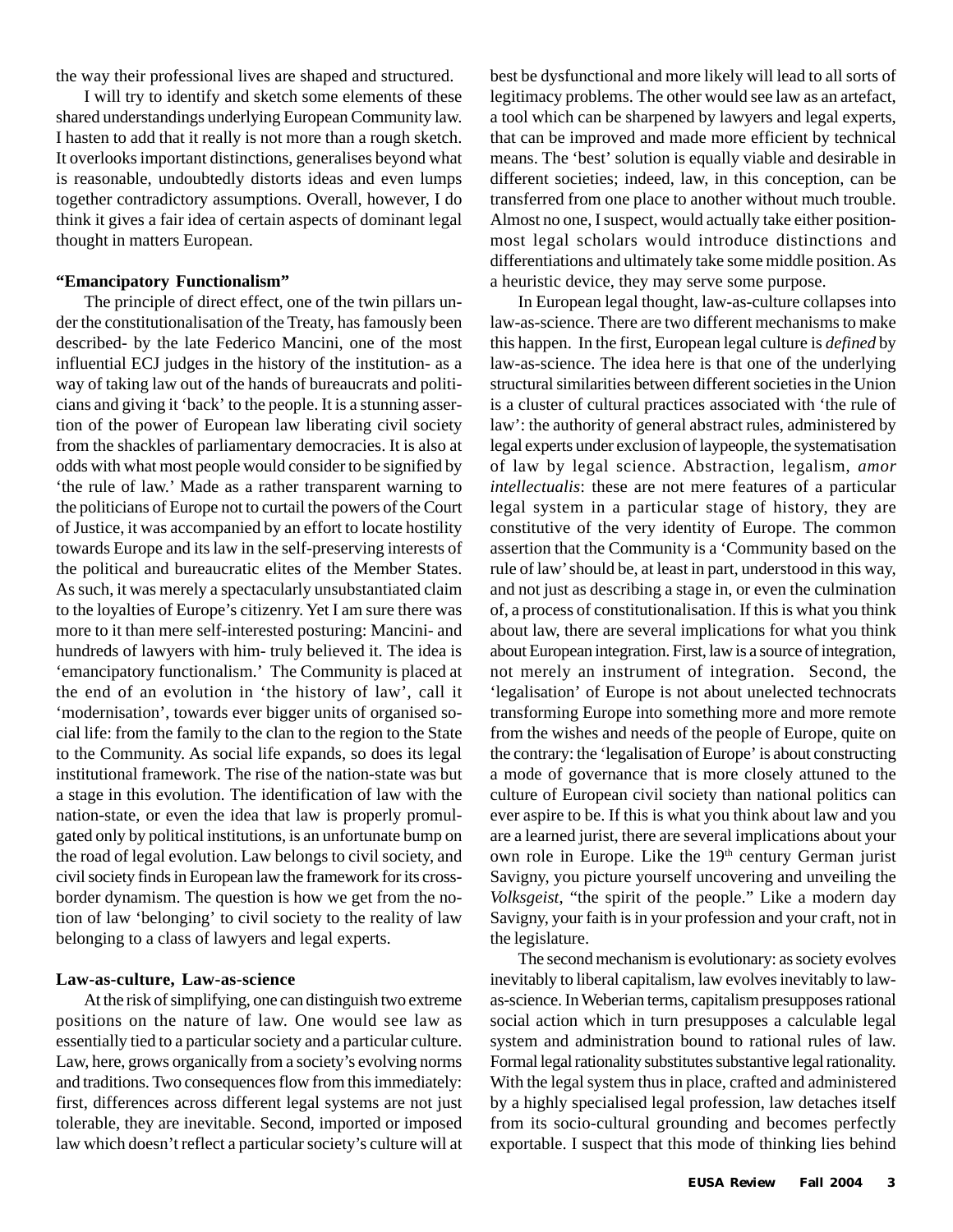the way their professional lives are shaped and structured.

I will try to identify and sketch some elements of these shared understandings underlying European Community law. I hasten to add that it really is not more than a rough sketch. It overlooks important distinctions, generalises beyond what is reasonable, undoubtedly distorts ideas and even lumps together contradictory assumptions. Overall, however, I do think it gives a fair idea of certain aspects of dominant legal thought in matters European.

#### **"Emancipatory Functionalism"**

The principle of direct effect, one of the twin pillars under the constitutionalisation of the Treaty, has famously been described- by the late Federico Mancini, one of the most influential ECJ judges in the history of the institution- as a way of taking law out of the hands of bureaucrats and politicians and giving it 'back' to the people. It is a stunning assertion of the power of European law liberating civil society from the shackles of parliamentary democracies. It is also at odds with what most people would consider to be signified by 'the rule of law.' Made as a rather transparent warning to the politicians of Europe not to curtail the powers of the Court of Justice, it was accompanied by an effort to locate hostility towards Europe and its law in the self-preserving interests of the political and bureaucratic elites of the Member States. As such, it was merely a spectacularly unsubstantiated claim to the loyalties of Europe's citizenry. Yet I am sure there was more to it than mere self-interested posturing: Mancini- and hundreds of lawyers with him- truly believed it. The idea is 'emancipatory functionalism.' The Community is placed at the end of an evolution in 'the history of law', call it 'modernisation', towards ever bigger units of organised social life: from the family to the clan to the region to the State to the Community. As social life expands, so does its legal institutional framework. The rise of the nation-state was but a stage in this evolution. The identification of law with the nation-state, or even the idea that law is properly promulgated only by political institutions, is an unfortunate bump on the road of legal evolution. Law belongs to civil society, and civil society finds in European law the framework for its crossborder dynamism. The question is how we get from the notion of law 'belonging' to civil society to the reality of law belonging to a class of lawyers and legal experts.

#### **Law-as-culture, Law-as-science**

At the risk of simplifying, one can distinguish two extreme positions on the nature of law. One would see law as essentially tied to a particular society and a particular culture. Law, here, grows organically from a society's evolving norms and traditions. Two consequences flow from this immediately: first, differences across different legal systems are not just tolerable, they are inevitable. Second, imported or imposed law which doesn't reflect a particular society's culture will at best be dysfunctional and more likely will lead to all sorts of legitimacy problems. The other would see law as an artefact, a tool which can be sharpened by lawyers and legal experts, that can be improved and made more efficient by technical means. The 'best' solution is equally viable and desirable in different societies; indeed, law, in this conception, can be transferred from one place to another without much trouble. Almost no one, I suspect, would actually take either positionmost legal scholars would introduce distinctions and differentiations and ultimately take some middle position. As a heuristic device, they may serve some purpose.

In European legal thought, law-as-culture collapses into law-as-science. There are two different mechanisms to make this happen. In the first, European legal culture is *defined* by law-as-science. The idea here is that one of the underlying structural similarities between different societies in the Union is a cluster of cultural practices associated with 'the rule of law': the authority of general abstract rules, administered by legal experts under exclusion of laypeople, the systematisation of law by legal science. Abstraction, legalism, *amor intellectualis*: these are not mere features of a particular legal system in a particular stage of history, they are constitutive of the very identity of Europe. The common assertion that the Community is a 'Community based on the rule of law' should be, at least in part, understood in this way, and not just as describing a stage in, or even the culmination of, a process of constitutionalisation. If this is what you think about law, there are several implications for what you think about European integration. First, law is a source of integration, not merely an instrument of integration. Second, the 'legalisation' of Europe is not about unelected technocrats transforming Europe into something more and more remote from the wishes and needs of the people of Europe, quite on the contrary: the 'legalisation of Europe' is about constructing a mode of governance that is more closely attuned to the culture of European civil society than national politics can ever aspire to be. If this is what you think about law and you are a learned jurist, there are several implications about your own role in Europe. Like the 19<sup>th</sup> century German jurist Savigny, you picture yourself uncovering and unveiling the *Volksgeist*, "the spirit of the people." Like a modern day Savigny, your faith is in your profession and your craft, not in the legislature.

The second mechanism is evolutionary: as society evolves inevitably to liberal capitalism, law evolves inevitably to lawas-science. In Weberian terms, capitalism presupposes rational social action which in turn presupposes a calculable legal system and administration bound to rational rules of law. Formal legal rationality substitutes substantive legal rationality. With the legal system thus in place, crafted and administered by a highly specialised legal profession, law detaches itself from its socio-cultural grounding and becomes perfectly exportable. I suspect that this mode of thinking lies behind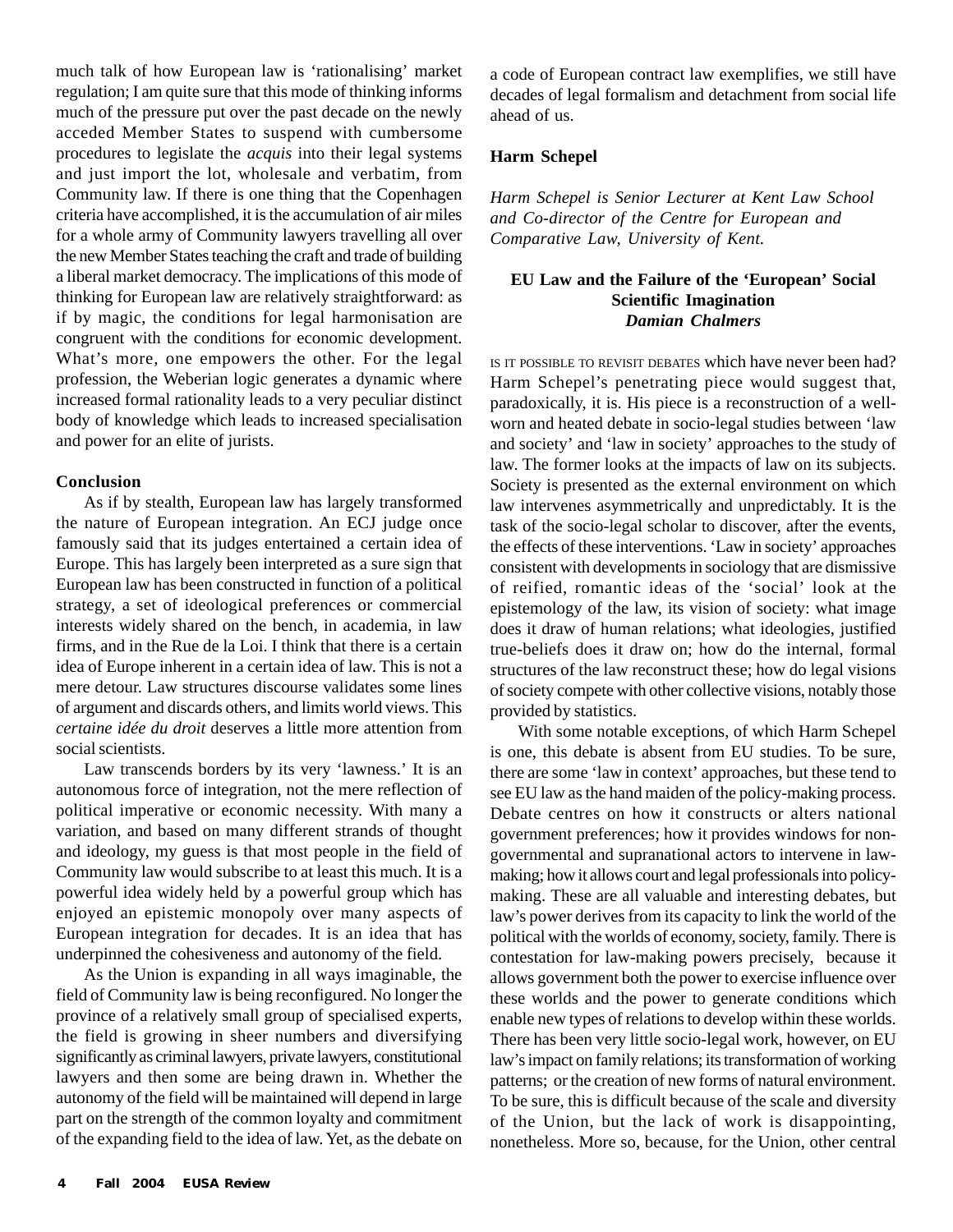much talk of how European law is 'rationalising' market regulation; I am quite sure that this mode of thinking informs much of the pressure put over the past decade on the newly acceded Member States to suspend with cumbersome procedures to legislate the *acquis* into their legal systems and just import the lot, wholesale and verbatim, from Community law. If there is one thing that the Copenhagen criteria have accomplished, it is the accumulation of air miles for a whole army of Community lawyers travelling all over the new Member States teaching the craft and trade of building a liberal market democracy. The implications of this mode of thinking for European law are relatively straightforward: as if by magic, the conditions for legal harmonisation are congruent with the conditions for economic development. What's more, one empowers the other. For the legal profession, the Weberian logic generates a dynamic where increased formal rationality leads to a very peculiar distinct body of knowledge which leads to increased specialisation and power for an elite of jurists.

#### **Conclusion**

As if by stealth, European law has largely transformed the nature of European integration. An ECJ judge once famously said that its judges entertained a certain idea of Europe. This has largely been interpreted as a sure sign that European law has been constructed in function of a political strategy, a set of ideological preferences or commercial interests widely shared on the bench, in academia, in law firms, and in the Rue de la Loi. I think that there is a certain idea of Europe inherent in a certain idea of law. This is not a mere detour. Law structures discourse validates some lines of argument and discards others, and limits world views. This *certaine idée du droit* deserves a little more attention from social scientists.

Law transcends borders by its very 'lawness.' It is an autonomous force of integration, not the mere reflection of political imperative or economic necessity. With many a variation, and based on many different strands of thought and ideology, my guess is that most people in the field of Community law would subscribe to at least this much. It is a powerful idea widely held by a powerful group which has enjoyed an epistemic monopoly over many aspects of European integration for decades. It is an idea that has underpinned the cohesiveness and autonomy of the field.

As the Union is expanding in all ways imaginable, the field of Community law is being reconfigured. No longer the province of a relatively small group of specialised experts, the field is growing in sheer numbers and diversifying significantly as criminal lawyers, private lawyers, constitutional lawyers and then some are being drawn in. Whether the autonomy of the field will be maintained will depend in large part on the strength of the common loyalty and commitment of the expanding field to the idea of law. Yet, as the debate on a code of European contract law exemplifies, we still have decades of legal formalism and detachment from social life ahead of us.

#### **Harm Schepel**

*Harm Schepel is Senior Lecturer at Kent Law School and Co-director of the Centre for European and Comparative Law, University of Kent.*

#### **EU Law and the Failure of the 'European' Social Scientific Imagination** *Damian Chalmers*

IS IT POSSIBLE TO REVISIT DEBATES which have never been had? Harm Schepel's penetrating piece would suggest that, paradoxically, it is. His piece is a reconstruction of a wellworn and heated debate in socio-legal studies between 'law and society' and 'law in society' approaches to the study of law. The former looks at the impacts of law on its subjects. Society is presented as the external environment on which law intervenes asymmetrically and unpredictably. It is the task of the socio-legal scholar to discover, after the events, the effects of these interventions. 'Law in society' approaches consistent with developments in sociology that are dismissive of reified, romantic ideas of the 'social' look at the epistemology of the law, its vision of society: what image does it draw of human relations; what ideologies, justified true-beliefs does it draw on; how do the internal, formal structures of the law reconstruct these; how do legal visions of society compete with other collective visions, notably those provided by statistics.

With some notable exceptions, of which Harm Schepel is one, this debate is absent from EU studies. To be sure, there are some 'law in context' approaches, but these tend to see EU law as the hand maiden of the policy-making process. Debate centres on how it constructs or alters national government preferences; how it provides windows for nongovernmental and supranational actors to intervene in lawmaking; how it allows court and legal professionals into policymaking. These are all valuable and interesting debates, but law's power derives from its capacity to link the world of the political with the worlds of economy, society, family. There is contestation for law-making powers precisely, because it allows government both the power to exercise influence over these worlds and the power to generate conditions which enable new types of relations to develop within these worlds. There has been very little socio-legal work, however, on EU law's impact on family relations; its transformation of working patterns; or the creation of new forms of natural environment. To be sure, this is difficult because of the scale and diversity of the Union, but the lack of work is disappointing, nonetheless. More so, because, for the Union, other central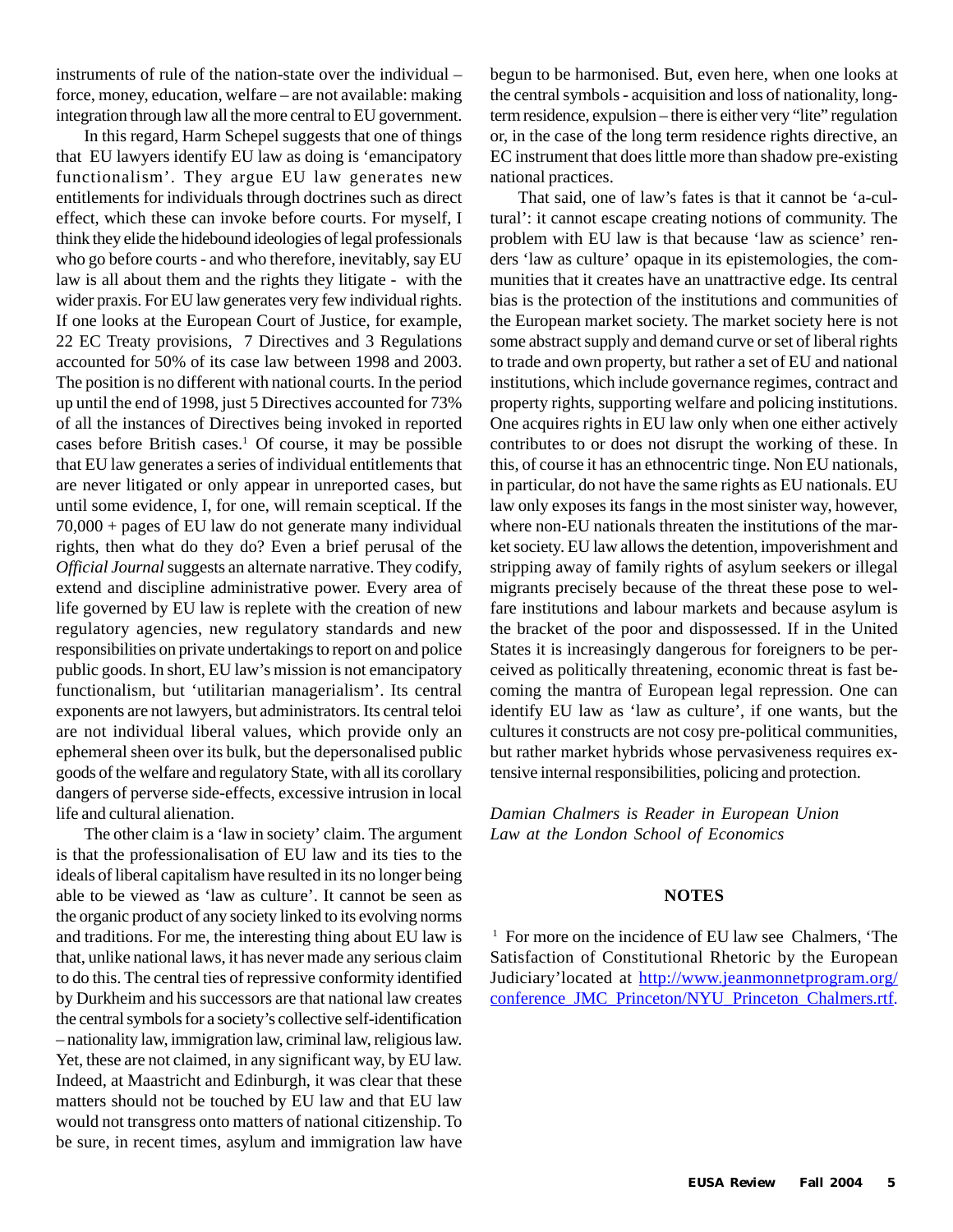instruments of rule of the nation-state over the individual – force, money, education, welfare – are not available: making integration through law all the more central to EU government.

In this regard, Harm Schepel suggests that one of things that EU lawyers identify EU law as doing is 'emancipatory functionalism'. They argue EU law generates new entitlements for individuals through doctrines such as direct effect, which these can invoke before courts. For myself, I think they elide the hidebound ideologies of legal professionals who go before courts - and who therefore, inevitably, say EU law is all about them and the rights they litigate - with the wider praxis. For EU law generates very few individual rights. If one looks at the European Court of Justice, for example, 22 EC Treaty provisions, 7 Directives and 3 Regulations accounted for 50% of its case law between 1998 and 2003. The position is no different with national courts. In the period up until the end of 1998, just 5 Directives accounted for 73% of all the instances of Directives being invoked in reported cases before British cases.<sup>1</sup> Of course, it may be possible that EU law generates a series of individual entitlements that are never litigated or only appear in unreported cases, but until some evidence, I, for one, will remain sceptical. If the 70,000 + pages of EU law do not generate many individual rights, then what do they do? Even a brief perusal of the *Official Journal* suggests an alternate narrative. They codify, extend and discipline administrative power. Every area of life governed by EU law is replete with the creation of new regulatory agencies, new regulatory standards and new responsibilities on private undertakings to report on and police public goods. In short, EU law's mission is not emancipatory functionalism, but 'utilitarian managerialism'. Its central exponents are not lawyers, but administrators. Its central teloi are not individual liberal values, which provide only an ephemeral sheen over its bulk, but the depersonalised public goods of the welfare and regulatory State, with all its corollary dangers of perverse side-effects, excessive intrusion in local life and cultural alienation.

The other claim is a 'law in society' claim. The argument is that the professionalisation of EU law and its ties to the ideals of liberal capitalism have resulted in its no longer being able to be viewed as 'law as culture'. It cannot be seen as the organic product of any society linked to its evolving norms and traditions. For me, the interesting thing about EU law is that, unlike national laws, it has never made any serious claim to do this. The central ties of repressive conformity identified by Durkheim and his successors are that national law creates the central symbols for a society's collective self-identification – nationality law, immigration law, criminal law, religious law. Yet, these are not claimed, in any significant way, by EU law. Indeed, at Maastricht and Edinburgh, it was clear that these matters should not be touched by EU law and that EU law would not transgress onto matters of national citizenship. To be sure, in recent times, asylum and immigration law have begun to be harmonised. But, even here, when one looks at the central symbols - acquisition and loss of nationality, longterm residence, expulsion – there is either very "lite" regulation or, in the case of the long term residence rights directive, an EC instrument that does little more than shadow pre-existing national practices.

That said, one of law's fates is that it cannot be 'a-cultural': it cannot escape creating notions of community. The problem with EU law is that because 'law as science' renders 'law as culture' opaque in its epistemologies, the communities that it creates have an unattractive edge. Its central bias is the protection of the institutions and communities of the European market society. The market society here is not some abstract supply and demand curve or set of liberal rights to trade and own property, but rather a set of EU and national institutions, which include governance regimes, contract and property rights, supporting welfare and policing institutions. One acquires rights in EU law only when one either actively contributes to or does not disrupt the working of these. In this, of course it has an ethnocentric tinge. Non EU nationals, in particular, do not have the same rights as EU nationals. EU law only exposes its fangs in the most sinister way, however, where non-EU nationals threaten the institutions of the market society. EU law allows the detention, impoverishment and stripping away of family rights of asylum seekers or illegal migrants precisely because of the threat these pose to welfare institutions and labour markets and because asylum is the bracket of the poor and dispossessed. If in the United States it is increasingly dangerous for foreigners to be perceived as politically threatening, economic threat is fast becoming the mantra of European legal repression. One can identify EU law as 'law as culture', if one wants, but the cultures it constructs are not cosy pre-political communities, but rather market hybrids whose pervasiveness requires extensive internal responsibilities, policing and protection.

*Damian Chalmers is Reader in European Union Law at the London School of Economics*

#### **NOTES**

1 For more on the incidence of EU law see Chalmers, 'The Satisfaction of Constitutional Rhetoric by the European Judiciary'located at http://www.jeanmonnetprogram.org/ conference\_JMC\_Princeton/NYU\_Princeton\_Chalmers.rtf.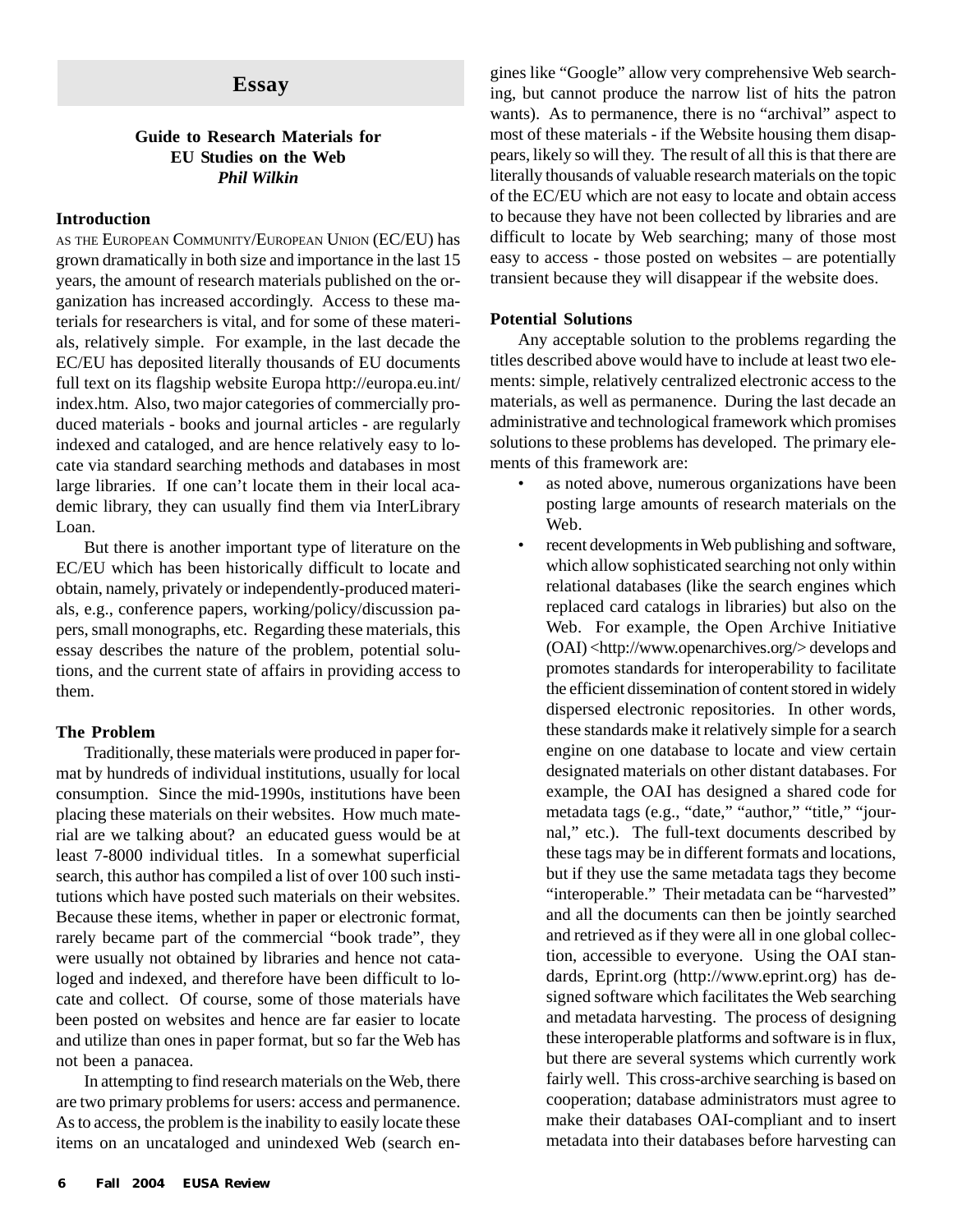#### **Guide to Research Materials for EU Studies on the Web** *Phil Wilkin*

#### **Introduction**

AS THE EUROPEAN COMMUNITY/EUROPEAN UNION (EC/EU) has grown dramatically in both size and importance in the last 15 years, the amount of research materials published on the organization has increased accordingly. Access to these materials for researchers is vital, and for some of these materials, relatively simple. For example, in the last decade the EC/EU has deposited literally thousands of EU documents full text on its flagship website Europa http://europa.eu.int/ index.htm. Also, two major categories of commercially produced materials - books and journal articles - are regularly indexed and cataloged, and are hence relatively easy to locate via standard searching methods and databases in most large libraries. If one can't locate them in their local academic library, they can usually find them via InterLibrary Loan.

But there is another important type of literature on the EC/EU which has been historically difficult to locate and obtain, namely, privately or independently-produced materials, e.g., conference papers, working/policy/discussion papers, small monographs, etc. Regarding these materials, this essay describes the nature of the problem, potential solutions, and the current state of affairs in providing access to them.

#### **The Problem**

Traditionally, these materials were produced in paper format by hundreds of individual institutions, usually for local consumption. Since the mid-1990s, institutions have been placing these materials on their websites. How much material are we talking about? an educated guess would be at least 7-8000 individual titles. In a somewhat superficial search, this author has compiled a list of over 100 such institutions which have posted such materials on their websites. Because these items, whether in paper or electronic format, rarely became part of the commercial "book trade", they were usually not obtained by libraries and hence not cataloged and indexed, and therefore have been difficult to locate and collect. Of course, some of those materials have been posted on websites and hence are far easier to locate and utilize than ones in paper format, but so far the Web has not been a panacea.

In attempting to find research materials on the Web, there are two primary problems for users: access and permanence. As to access, the problem is the inability to easily locate these items on an uncataloged and unindexed Web (search en-

**Essay** gines like "Google" allow very comprehensive Web search-<br>
inc. but connect produce the network list of hits the network ing, but cannot produce the narrow list of hits the patron wants). As to permanence, there is no "archival" aspect to most of these materials - if the Website housing them disappears, likely so will they. The result of all this is that there are literally thousands of valuable research materials on the topic of the EC/EU which are not easy to locate and obtain access to because they have not been collected by libraries and are difficult to locate by Web searching; many of those most easy to access - those posted on websites – are potentially transient because they will disappear if the website does.

#### **Potential Solutions**

Any acceptable solution to the problems regarding the titles described above would have to include at least two elements: simple, relatively centralized electronic access to the materials, as well as permanence. During the last decade an administrative and technological framework which promises solutions to these problems has developed. The primary elements of this framework are:

- as noted above, numerous organizations have been posting large amounts of research materials on the Web.
- recent developments in Web publishing and software, which allow sophisticated searching not only within relational databases (like the search engines which replaced card catalogs in libraries) but also on the Web. For example, the Open Archive Initiative (OAI) <http://www.openarchives.org/> develops and promotes standards for interoperability to facilitate the efficient dissemination of content stored in widely dispersed electronic repositories. In other words, these standards make it relatively simple for a search engine on one database to locate and view certain designated materials on other distant databases. For example, the OAI has designed a shared code for metadata tags (e.g., "date," "author," "title," "journal," etc.). The full-text documents described by these tags may be in different formats and locations, but if they use the same metadata tags they become "interoperable." Their metadata can be "harvested" and all the documents can then be jointly searched and retrieved as if they were all in one global collection, accessible to everyone. Using the OAI standards, Eprint.org (http://www.eprint.org) has designed software which facilitates the Web searching and metadata harvesting. The process of designing these interoperable platforms and software is in flux, but there are several systems which currently work fairly well. This cross-archive searching is based on cooperation; database administrators must agree to make their databases OAI-compliant and to insert metadata into their databases before harvesting can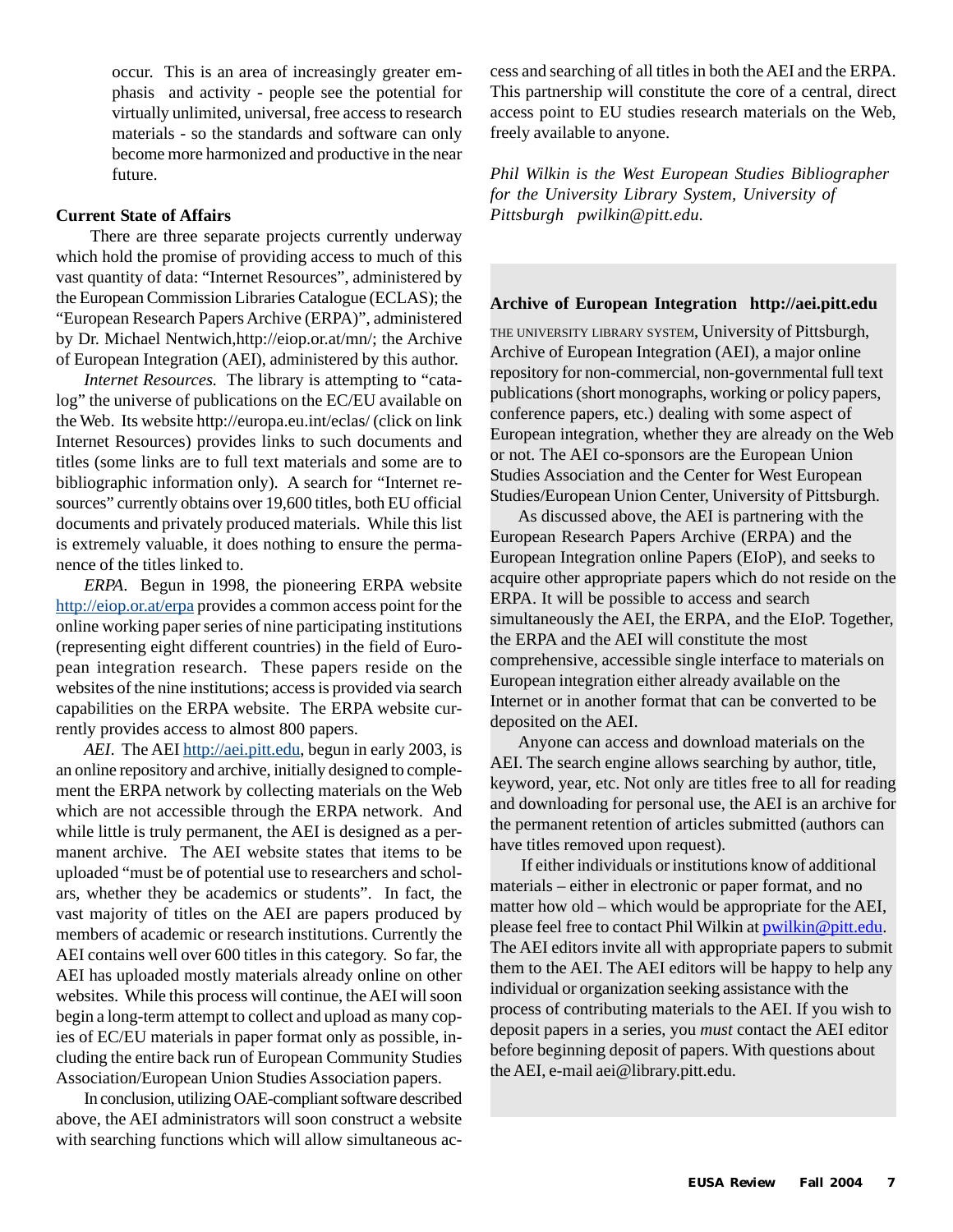occur. This is an area of increasingly greater emphasis and activity - people see the potential for virtually unlimited, universal, free access to research materials - so the standards and software can only become more harmonized and productive in the near future.

#### **Current State of Affairs**

 There are three separate projects currently underway which hold the promise of providing access to much of this vast quantity of data: "Internet Resources", administered by the European Commission Libraries Catalogue (ECLAS); the "European Research Papers Archive (ERPA)", administered by Dr. Michael Nentwich,http://eiop.or.at/mn/; the Archive of European Integration (AEI), administered by this author.

*Internet Resources.* The library is attempting to "catalog" the universe of publications on the EC/EU available on the Web. Its website http://europa.eu.int/eclas/ (click on link Internet Resources) provides links to such documents and titles (some links are to full text materials and some are to bibliographic information only). A search for "Internet resources" currently obtains over 19,600 titles, both EU official documents and privately produced materials. While this list is extremely valuable, it does nothing to ensure the permanence of the titles linked to.

*ERPA*. Begun in 1998, the pioneering ERPA website http://eiop.or.at/erpa provides a common access point for the online working paper series of nine participating institutions (representing eight different countries) in the field of European integration research. These papers reside on the websites of the nine institutions; access is provided via search capabilities on the ERPA website. The ERPA website currently provides access to almost 800 papers.

*AEI*. The AEI http://aei.pitt.edu, begun in early 2003, is an online repository and archive, initially designed to complement the ERPA network by collecting materials on the Web which are not accessible through the ERPA network. And while little is truly permanent, the AEI is designed as a permanent archive. The AEI website states that items to be uploaded "must be of potential use to researchers and scholars, whether they be academics or students". In fact, the vast majority of titles on the AEI are papers produced by members of academic or research institutions. Currently the AEI contains well over 600 titles in this category. So far, the AEI has uploaded mostly materials already online on other websites. While this process will continue, the AEI will soon begin a long-term attempt to collect and upload as many copies of EC/EU materials in paper format only as possible, including the entire back run of European Community Studies Association/European Union Studies Association papers.

In conclusion, utilizing OAE-compliant software described above, the AEI administrators will soon construct a website with searching functions which will allow simultaneous access and searching of all titles in both the AEI and the ERPA. This partnership will constitute the core of a central, direct access point to EU studies research materials on the Web, freely available to anyone.

*Phil Wilkin is the West European Studies Bibliographer for the University Library System, University of Pittsburgh pwilkin@pitt.edu.*

#### **Archive of European Integration http://aei.pitt.edu**

THE UNIVERSITY LIBRARY SYSTEM, University of Pittsburgh, Archive of European Integration (AEI), a major online repository for non-commercial, non-governmental full text publications (short monographs, working or policy papers, conference papers, etc.) dealing with some aspect of European integration, whether they are already on the Web or not. The AEI co-sponsors are the European Union Studies Association and the Center for West European Studies/European Union Center, University of Pittsburgh.

As discussed above, the AEI is partnering with the European Research Papers Archive (ERPA) and the European Integration online Papers (EIoP), and seeks to acquire other appropriate papers which do not reside on the ERPA. It will be possible to access and search simultaneously the AEI, the ERPA, and the EIoP. Together, the ERPA and the AEI will constitute the most comprehensive, accessible single interface to materials on European integration either already available on the Internet or in another format that can be converted to be deposited on the AEI.

Anyone can access and download materials on the AEI. The search engine allows searching by author, title, keyword, year, etc. Not only are titles free to all for reading and downloading for personal use, the AEI is an archive for the permanent retention of articles submitted (authors can have titles removed upon request).

 If either individuals or institutions know of additional materials – either in electronic or paper format, and no matter how old – which would be appropriate for the AEI, please feel free to contact Phil Wilkin at pwilkin@pitt.edu. The AEI editors invite all with appropriate papers to submit them to the AEI. The AEI editors will be happy to help any individual or organization seeking assistance with the process of contributing materials to the AEI. If you wish to deposit papers in a series, you *must* contact the AEI editor before beginning deposit of papers. With questions about the AEI, e-mail aei@library.pitt.edu.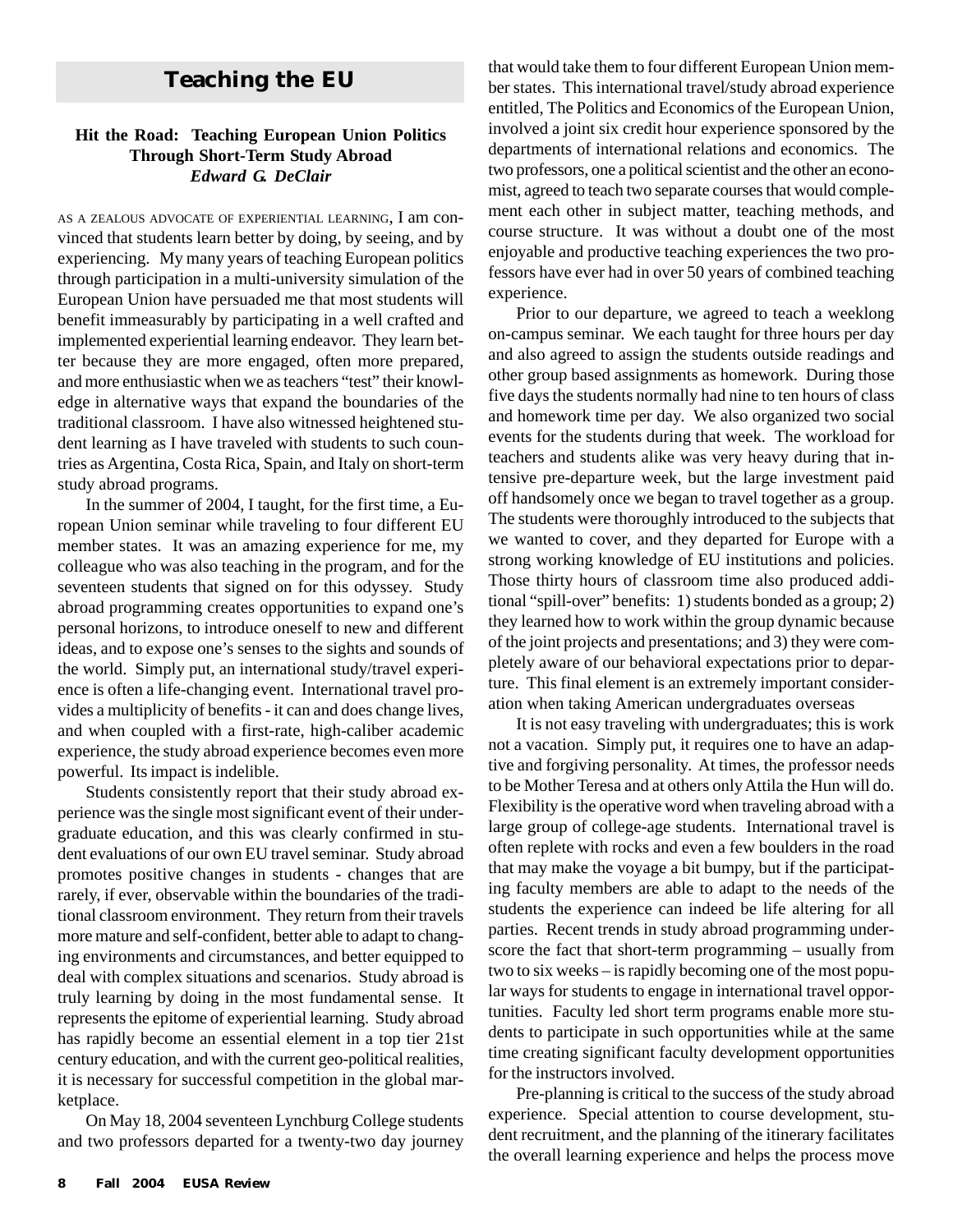### **Teaching the EU**

#### **Hit the Road: Teaching European Union Politics Through Short-Term Study Abroad** *Edward G. DeClair*

AS <sup>A</sup> ZEALOUS ADVOCATE OF EXPERIENTIAL LEARNING, I am convinced that students learn better by doing, by seeing, and by experiencing. My many years of teaching European politics through participation in a multi-university simulation of the European Union have persuaded me that most students will benefit immeasurably by participating in a well crafted and implemented experiential learning endeavor. They learn better because they are more engaged, often more prepared, and more enthusiastic when we as teachers "test" their knowledge in alternative ways that expand the boundaries of the traditional classroom. I have also witnessed heightened student learning as I have traveled with students to such countries as Argentina, Costa Rica, Spain, and Italy on short-term study abroad programs.

In the summer of 2004, I taught, for the first time, a European Union seminar while traveling to four different EU member states. It was an amazing experience for me, my colleague who was also teaching in the program, and for the seventeen students that signed on for this odyssey. Study abroad programming creates opportunities to expand one's personal horizons, to introduce oneself to new and different ideas, and to expose one's senses to the sights and sounds of the world. Simply put, an international study/travel experience is often a life-changing event. International travel provides a multiplicity of benefits - it can and does change lives, and when coupled with a first-rate, high-caliber academic experience, the study abroad experience becomes even more powerful. Its impact is indelible.

Students consistently report that their study abroad experience was the single most significant event of their undergraduate education, and this was clearly confirmed in student evaluations of our own EU travel seminar. Study abroad promotes positive changes in students - changes that are rarely, if ever, observable within the boundaries of the traditional classroom environment. They return from their travels more mature and self-confident, better able to adapt to changing environments and circumstances, and better equipped to deal with complex situations and scenarios. Study abroad is truly learning by doing in the most fundamental sense. It represents the epitome of experiential learning. Study abroad has rapidly become an essential element in a top tier 21st century education, and with the current geo-political realities, it is necessary for successful competition in the global marketplace.

On May 18, 2004 seventeen Lynchburg College students and two professors departed for a twenty-two day journey

that would take them to four different European Union member states. This international travel/study abroad experience entitled, The Politics and Economics of the European Union, involved a joint six credit hour experience sponsored by the departments of international relations and economics. The two professors, one a political scientist and the other an economist, agreed to teach two separate courses that would complement each other in subject matter, teaching methods, and course structure. It was without a doubt one of the most enjoyable and productive teaching experiences the two professors have ever had in over 50 years of combined teaching experience.

Prior to our departure, we agreed to teach a weeklong on-campus seminar. We each taught for three hours per day and also agreed to assign the students outside readings and other group based assignments as homework. During those five days the students normally had nine to ten hours of class and homework time per day. We also organized two social events for the students during that week. The workload for teachers and students alike was very heavy during that intensive pre-departure week, but the large investment paid off handsomely once we began to travel together as a group. The students were thoroughly introduced to the subjects that we wanted to cover, and they departed for Europe with a strong working knowledge of EU institutions and policies. Those thirty hours of classroom time also produced additional "spill-over" benefits: 1) students bonded as a group; 2) they learned how to work within the group dynamic because of the joint projects and presentations; and 3) they were completely aware of our behavioral expectations prior to departure. This final element is an extremely important consideration when taking American undergraduates overseas

It is not easy traveling with undergraduates; this is work not a vacation. Simply put, it requires one to have an adaptive and forgiving personality. At times, the professor needs to be Mother Teresa and at others only Attila the Hun will do. Flexibility is the operative word when traveling abroad with a large group of college-age students. International travel is often replete with rocks and even a few boulders in the road that may make the voyage a bit bumpy, but if the participating faculty members are able to adapt to the needs of the students the experience can indeed be life altering for all parties. Recent trends in study abroad programming underscore the fact that short-term programming – usually from two to six weeks – is rapidly becoming one of the most popular ways for students to engage in international travel opportunities. Faculty led short term programs enable more students to participate in such opportunities while at the same time creating significant faculty development opportunities for the instructors involved.

Pre-planning is critical to the success of the study abroad experience. Special attention to course development, student recruitment, and the planning of the itinerary facilitates the overall learning experience and helps the process move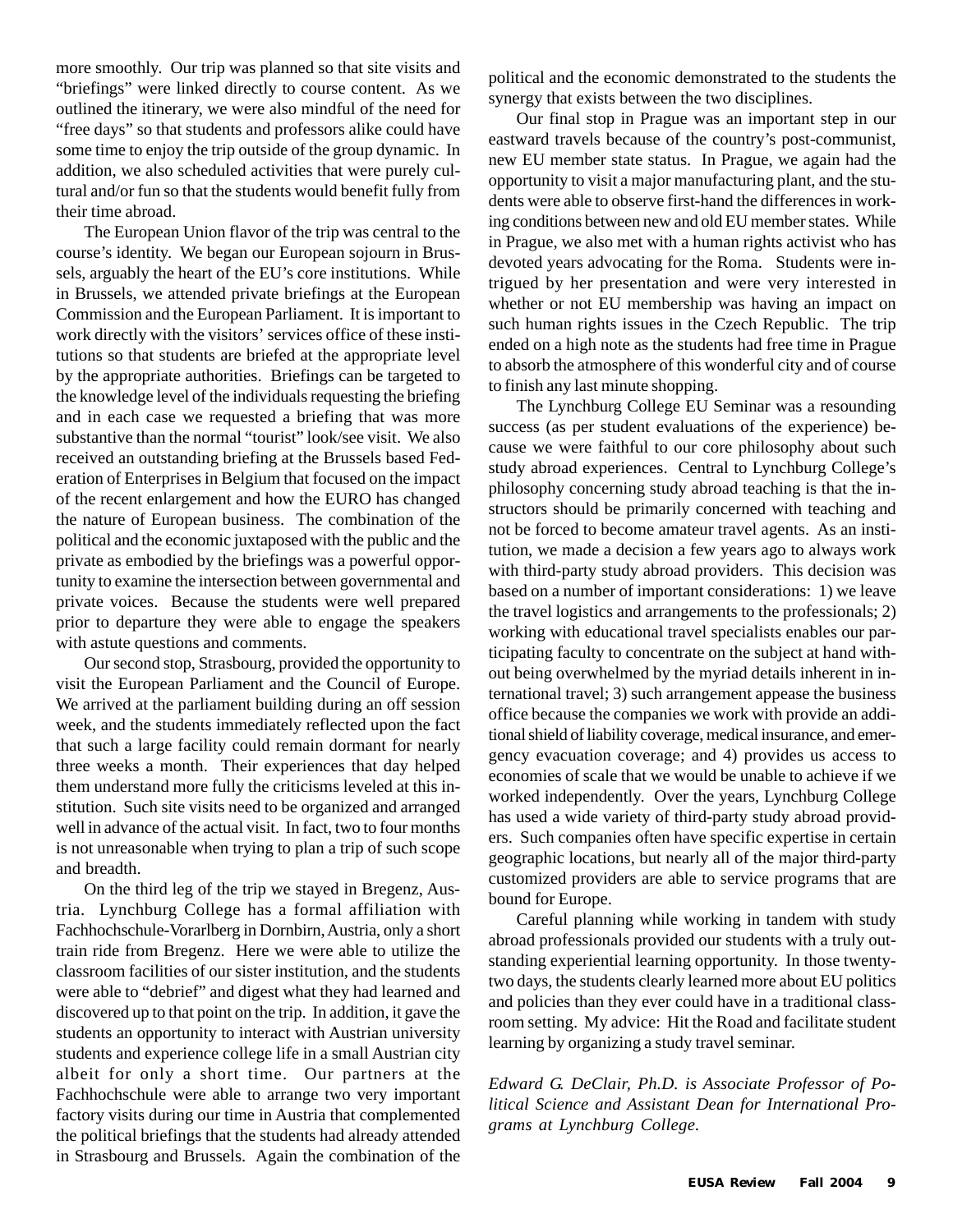more smoothly. Our trip was planned so that site visits and "briefings" were linked directly to course content. As we outlined the itinerary, we were also mindful of the need for "free days" so that students and professors alike could have some time to enjoy the trip outside of the group dynamic. In addition, we also scheduled activities that were purely cultural and/or fun so that the students would benefit fully from their time abroad.

The European Union flavor of the trip was central to the course's identity. We began our European sojourn in Brussels, arguably the heart of the EU's core institutions. While in Brussels, we attended private briefings at the European Commission and the European Parliament. It is important to work directly with the visitors' services office of these institutions so that students are briefed at the appropriate level by the appropriate authorities. Briefings can be targeted to the knowledge level of the individuals requesting the briefing and in each case we requested a briefing that was more substantive than the normal "tourist" look/see visit. We also received an outstanding briefing at the Brussels based Federation of Enterprises in Belgium that focused on the impact of the recent enlargement and how the EURO has changed the nature of European business. The combination of the political and the economic juxtaposed with the public and the private as embodied by the briefings was a powerful opportunity to examine the intersection between governmental and private voices. Because the students were well prepared prior to departure they were able to engage the speakers with astute questions and comments.

Our second stop, Strasbourg, provided the opportunity to visit the European Parliament and the Council of Europe. We arrived at the parliament building during an off session week, and the students immediately reflected upon the fact that such a large facility could remain dormant for nearly three weeks a month. Their experiences that day helped them understand more fully the criticisms leveled at this institution. Such site visits need to be organized and arranged well in advance of the actual visit. In fact, two to four months is not unreasonable when trying to plan a trip of such scope and breadth.

On the third leg of the trip we stayed in Bregenz, Austria. Lynchburg College has a formal affiliation with Fachhochschule-Vorarlberg in Dornbirn, Austria, only a short train ride from Bregenz. Here we were able to utilize the classroom facilities of our sister institution, and the students were able to "debrief" and digest what they had learned and discovered up to that point on the trip. In addition, it gave the students an opportunity to interact with Austrian university students and experience college life in a small Austrian city albeit for only a short time. Our partners at the Fachhochschule were able to arrange two very important factory visits during our time in Austria that complemented the political briefings that the students had already attended in Strasbourg and Brussels. Again the combination of the

political and the economic demonstrated to the students the synergy that exists between the two disciplines.

Our final stop in Prague was an important step in our eastward travels because of the country's post-communist, new EU member state status. In Prague, we again had the opportunity to visit a major manufacturing plant, and the students were able to observe first-hand the differences in working conditions between new and old EU member states. While in Prague, we also met with a human rights activist who has devoted years advocating for the Roma. Students were intrigued by her presentation and were very interested in whether or not EU membership was having an impact on such human rights issues in the Czech Republic. The trip ended on a high note as the students had free time in Prague to absorb the atmosphere of this wonderful city and of course to finish any last minute shopping.

The Lynchburg College EU Seminar was a resounding success (as per student evaluations of the experience) because we were faithful to our core philosophy about such study abroad experiences. Central to Lynchburg College's philosophy concerning study abroad teaching is that the instructors should be primarily concerned with teaching and not be forced to become amateur travel agents. As an institution, we made a decision a few years ago to always work with third-party study abroad providers. This decision was based on a number of important considerations: 1) we leave the travel logistics and arrangements to the professionals; 2) working with educational travel specialists enables our participating faculty to concentrate on the subject at hand without being overwhelmed by the myriad details inherent in international travel; 3) such arrangement appease the business office because the companies we work with provide an additional shield of liability coverage, medical insurance, and emergency evacuation coverage; and 4) provides us access to economies of scale that we would be unable to achieve if we worked independently. Over the years, Lynchburg College has used a wide variety of third-party study abroad providers. Such companies often have specific expertise in certain geographic locations, but nearly all of the major third-party customized providers are able to service programs that are bound for Europe.

Careful planning while working in tandem with study abroad professionals provided our students with a truly outstanding experiential learning opportunity. In those twentytwo days, the students clearly learned more about EU politics and policies than they ever could have in a traditional classroom setting. My advice: Hit the Road and facilitate student learning by organizing a study travel seminar.

*Edward G. DeClair, Ph.D. is Associate Professor of Political Science and Assistant Dean for International Programs at Lynchburg College.*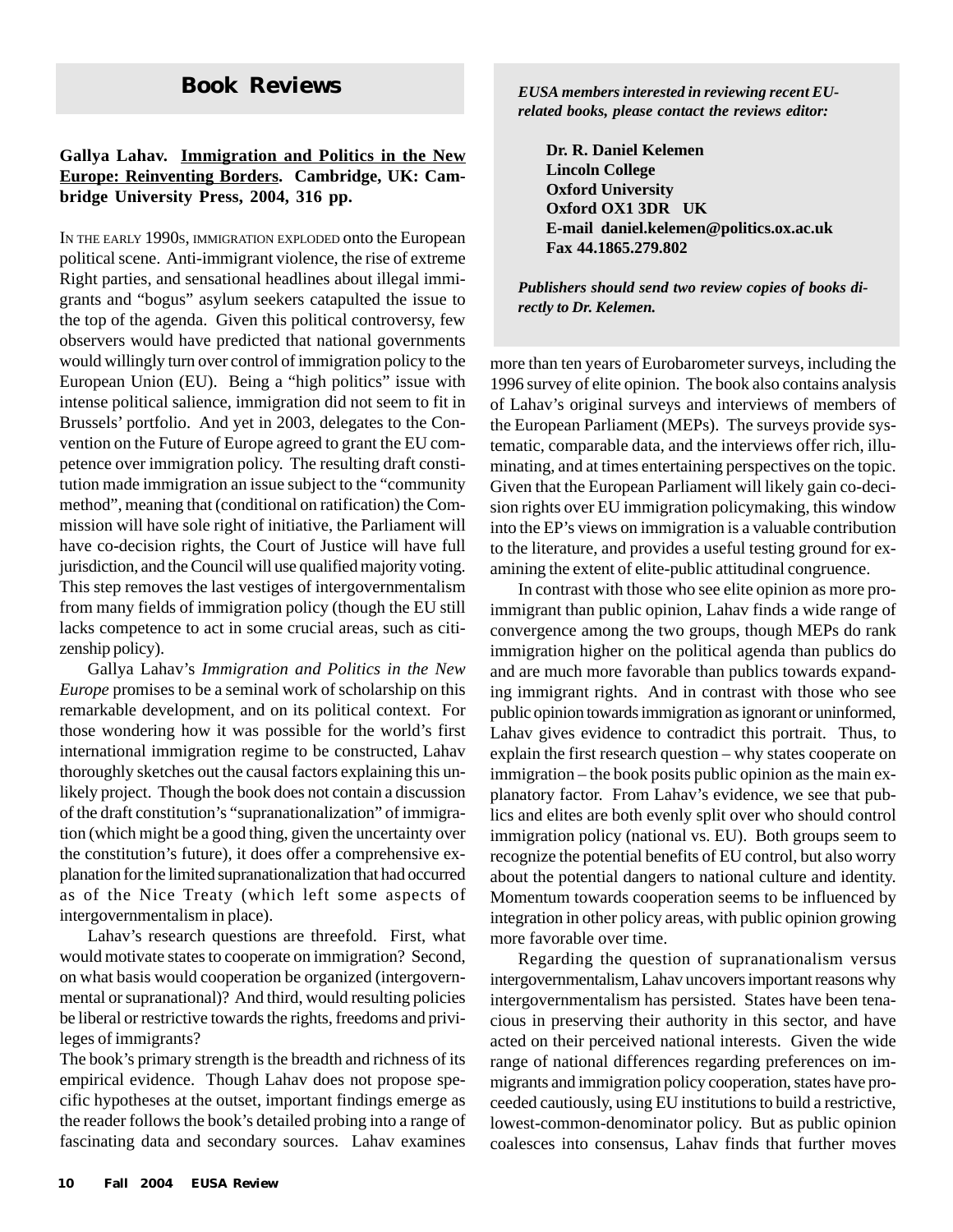#### **Gallya Lahav. Immigration and Politics in the New Europe: Reinventing Borders. Cambridge, UK: Cambridge University Press, 2004, 316 pp.**

IN THE EARLY 1990S, IMMIGRATION EXPLODED onto the European political scene. Anti-immigrant violence, the rise of extreme Right parties, and sensational headlines about illegal immigrants and "bogus" asylum seekers catapulted the issue to the top of the agenda. Given this political controversy, few observers would have predicted that national governments would willingly turn over control of immigration policy to the European Union (EU). Being a "high politics" issue with intense political salience, immigration did not seem to fit in Brussels' portfolio. And yet in 2003, delegates to the Convention on the Future of Europe agreed to grant the EU competence over immigration policy. The resulting draft constitution made immigration an issue subject to the "community method", meaning that (conditional on ratification) the Commission will have sole right of initiative, the Parliament will have co-decision rights, the Court of Justice will have full jurisdiction, and the Council will use qualified majority voting. This step removes the last vestiges of intergovernmentalism from many fields of immigration policy (though the EU still lacks competence to act in some crucial areas, such as citizenship policy).

Gallya Lahav's *Immigration and Politics in the New Europe* promises to be a seminal work of scholarship on this remarkable development, and on its political context. For those wondering how it was possible for the world's first international immigration regime to be constructed, Lahav thoroughly sketches out the causal factors explaining this unlikely project. Though the book does not contain a discussion of the draft constitution's "supranationalization" of immigration (which might be a good thing, given the uncertainty over the constitution's future), it does offer a comprehensive explanation for the limited supranationalization that had occurred as of the Nice Treaty (which left some aspects of intergovernmentalism in place).

Lahav's research questions are threefold. First, what would motivate states to cooperate on immigration? Second, on what basis would cooperation be organized (intergovernmental or supranational)? And third, would resulting policies be liberal or restrictive towards the rights, freedoms and privileges of immigrants?

The book's primary strength is the breadth and richness of its empirical evidence. Though Lahav does not propose specific hypotheses at the outset, important findings emerge as the reader follows the book's detailed probing into a range of fascinating data and secondary sources. Lahav examines

**Book Reviews** *EUSA members interested in reviewing recent EUrelated books, please contact the reviews editor:*

> **Dr. R. Daniel Kelemen Lincoln College Oxford University Oxford OX1 3DR UK E-mail daniel.kelemen@politics.ox.ac.uk Fax 44.1865.279.802**

*Publishers should send two review copies of books directly to Dr. Kelemen.*

more than ten years of Eurobarometer surveys, including the 1996 survey of elite opinion. The book also contains analysis of Lahav's original surveys and interviews of members of the European Parliament (MEPs). The surveys provide systematic, comparable data, and the interviews offer rich, illuminating, and at times entertaining perspectives on the topic. Given that the European Parliament will likely gain co-decision rights over EU immigration policymaking, this window into the EP's views on immigration is a valuable contribution to the literature, and provides a useful testing ground for examining the extent of elite-public attitudinal congruence.

In contrast with those who see elite opinion as more proimmigrant than public opinion, Lahav finds a wide range of convergence among the two groups, though MEPs do rank immigration higher on the political agenda than publics do and are much more favorable than publics towards expanding immigrant rights. And in contrast with those who see public opinion towards immigration as ignorant or uninformed, Lahav gives evidence to contradict this portrait. Thus, to explain the first research question – why states cooperate on immigration – the book posits public opinion as the main explanatory factor. From Lahav's evidence, we see that publics and elites are both evenly split over who should control immigration policy (national vs. EU). Both groups seem to recognize the potential benefits of EU control, but also worry about the potential dangers to national culture and identity. Momentum towards cooperation seems to be influenced by integration in other policy areas, with public opinion growing more favorable over time.

Regarding the question of supranationalism versus intergovernmentalism, Lahav uncovers important reasons why intergovernmentalism has persisted. States have been tenacious in preserving their authority in this sector, and have acted on their perceived national interests. Given the wide range of national differences regarding preferences on immigrants and immigration policy cooperation, states have proceeded cautiously, using EU institutions to build a restrictive, lowest-common-denominator policy. But as public opinion coalesces into consensus, Lahav finds that further moves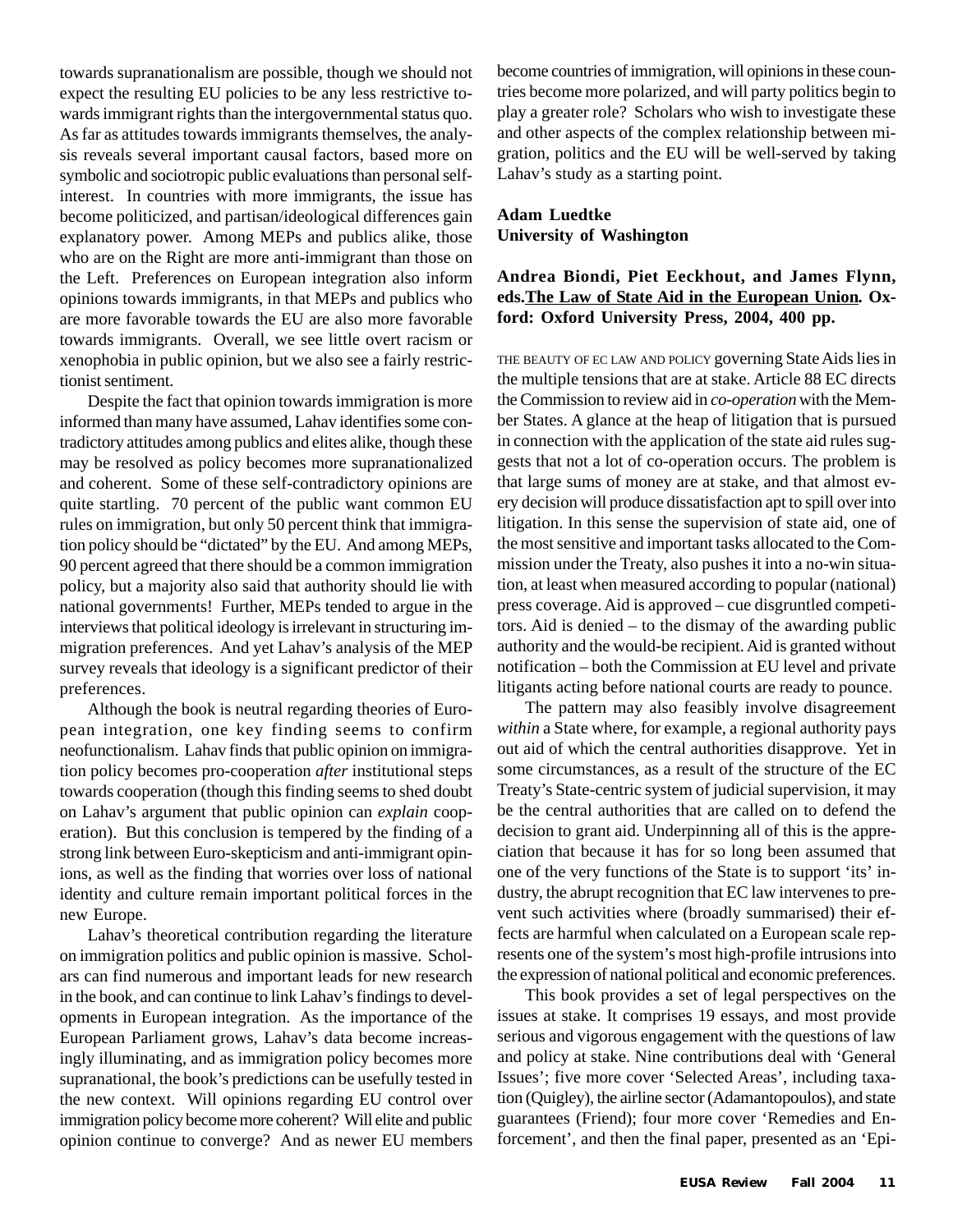towards supranationalism are possible, though we should not expect the resulting EU policies to be any less restrictive towards immigrant rights than the intergovernmental status quo. As far as attitudes towards immigrants themselves, the analysis reveals several important causal factors, based more on symbolic and sociotropic public evaluations than personal selfinterest. In countries with more immigrants, the issue has become politicized, and partisan/ideological differences gain explanatory power. Among MEPs and publics alike, those who are on the Right are more anti-immigrant than those on the Left. Preferences on European integration also inform opinions towards immigrants, in that MEPs and publics who are more favorable towards the EU are also more favorable towards immigrants. Overall, we see little overt racism or xenophobia in public opinion, but we also see a fairly restrictionist sentiment.

Despite the fact that opinion towards immigration is more informed than many have assumed, Lahav identifies some contradictory attitudes among publics and elites alike, though these may be resolved as policy becomes more supranationalized and coherent. Some of these self-contradictory opinions are quite startling. 70 percent of the public want common EU rules on immigration, but only 50 percent think that immigration policy should be "dictated" by the EU. And among MEPs, 90 percent agreed that there should be a common immigration policy, but a majority also said that authority should lie with national governments! Further, MEPs tended to argue in the interviews that political ideology is irrelevant in structuring immigration preferences. And yet Lahav's analysis of the MEP survey reveals that ideology is a significant predictor of their preferences.

Although the book is neutral regarding theories of European integration, one key finding seems to confirm neofunctionalism. Lahav finds that public opinion on immigration policy becomes pro-cooperation *after* institutional steps towards cooperation (though this finding seems to shed doubt on Lahav's argument that public opinion can *explain* cooperation). But this conclusion is tempered by the finding of a strong link between Euro-skepticism and anti-immigrant opinions, as well as the finding that worries over loss of national identity and culture remain important political forces in the new Europe.

Lahav's theoretical contribution regarding the literature on immigration politics and public opinion is massive. Scholars can find numerous and important leads for new research in the book, and can continue to link Lahav's findings to developments in European integration. As the importance of the European Parliament grows, Lahav's data become increasingly illuminating, and as immigration policy becomes more supranational, the book's predictions can be usefully tested in the new context. Will opinions regarding EU control over immigration policy become more coherent? Will elite and public opinion continue to converge? And as newer EU members

become countries of immigration, will opinions in these countries become more polarized, and will party politics begin to play a greater role? Scholars who wish to investigate these and other aspects of the complex relationship between migration, politics and the EU will be well-served by taking Lahav's study as a starting point.

### **Adam Luedtke University of Washington**

### **Andrea Biondi, Piet Eeckhout, and James Flynn, eds.The Law of State Aid in the European Union***.* **Oxford: Oxford University Press, 2004, 400 pp.**

THE BEAUTY OF EC LAW AND POLICY governing State Aids lies in the multiple tensions that are at stake. Article 88 EC directs the Commission to review aid in *co-operation* with the Member States. A glance at the heap of litigation that is pursued in connection with the application of the state aid rules suggests that not a lot of co-operation occurs. The problem is that large sums of money are at stake, and that almost every decision will produce dissatisfaction apt to spill over into litigation. In this sense the supervision of state aid, one of the most sensitive and important tasks allocated to the Commission under the Treaty, also pushes it into a no-win situation, at least when measured according to popular (national) press coverage. Aid is approved – cue disgruntled competitors. Aid is denied – to the dismay of the awarding public authority and the would-be recipient. Aid is granted without notification – both the Commission at EU level and private litigants acting before national courts are ready to pounce.

The pattern may also feasibly involve disagreement *within* a State where, for example, a regional authority pays out aid of which the central authorities disapprove. Yet in some circumstances, as a result of the structure of the EC Treaty's State-centric system of judicial supervision, it may be the central authorities that are called on to defend the decision to grant aid. Underpinning all of this is the appreciation that because it has for so long been assumed that one of the very functions of the State is to support 'its' industry, the abrupt recognition that EC law intervenes to prevent such activities where (broadly summarised) their effects are harmful when calculated on a European scale represents one of the system's most high-profile intrusions into the expression of national political and economic preferences.

This book provides a set of legal perspectives on the issues at stake. It comprises 19 essays, and most provide serious and vigorous engagement with the questions of law and policy at stake. Nine contributions deal with 'General Issues'; five more cover 'Selected Areas', including taxation (Quigley), the airline sector (Adamantopoulos), and state guarantees (Friend); four more cover 'Remedies and Enforcement', and then the final paper, presented as an 'Epi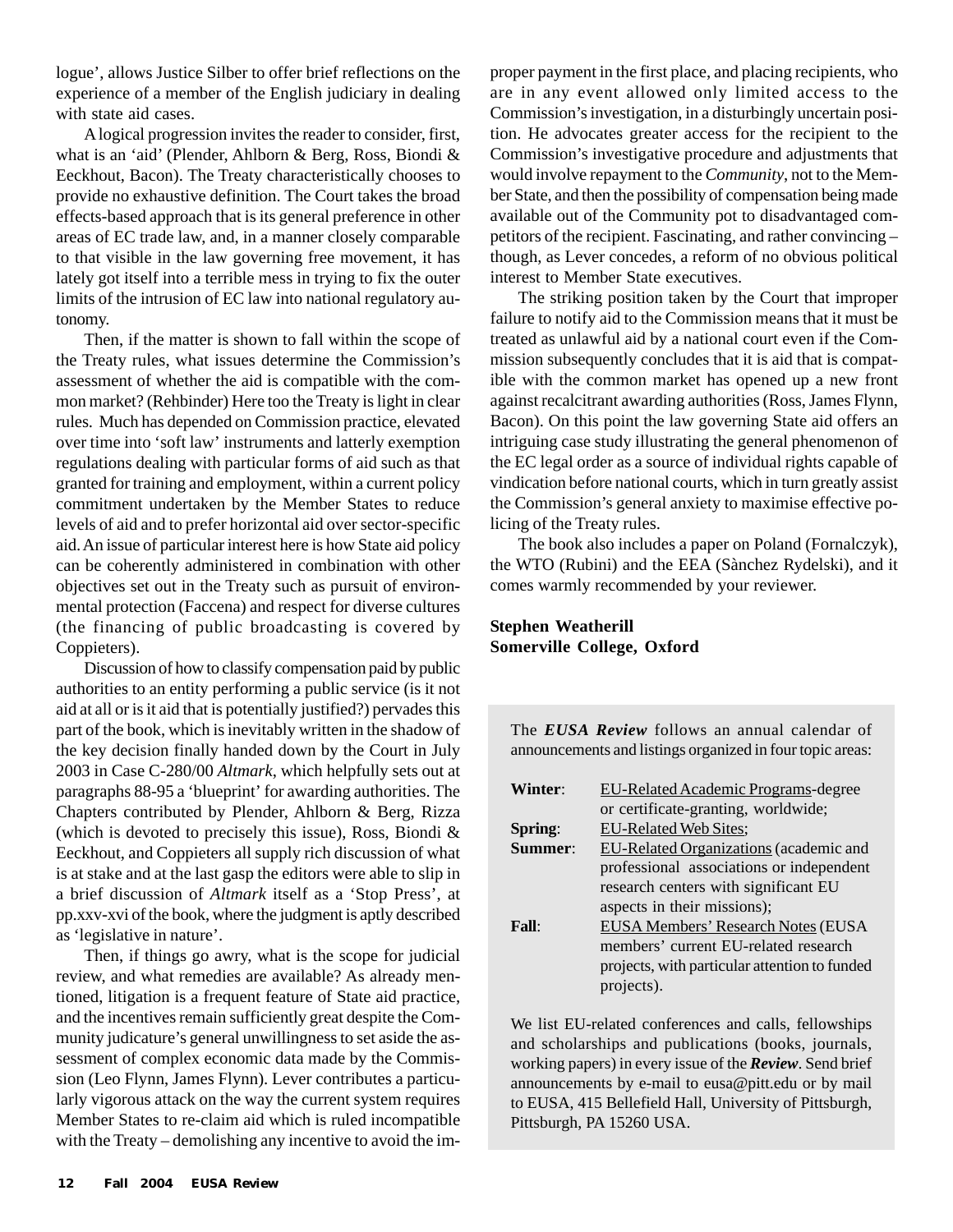logue', allows Justice Silber to offer brief reflections on the experience of a member of the English judiciary in dealing with state aid cases.

A logical progression invites the reader to consider, first, what is an 'aid' (Plender, Ahlborn & Berg, Ross, Biondi & Eeckhout, Bacon). The Treaty characteristically chooses to provide no exhaustive definition. The Court takes the broad effects-based approach that is its general preference in other areas of EC trade law, and, in a manner closely comparable to that visible in the law governing free movement, it has lately got itself into a terrible mess in trying to fix the outer limits of the intrusion of EC law into national regulatory autonomy.

Then, if the matter is shown to fall within the scope of the Treaty rules, what issues determine the Commission's assessment of whether the aid is compatible with the common market? (Rehbinder) Here too the Treaty is light in clear rules. Much has depended on Commission practice, elevated over time into 'soft law' instruments and latterly exemption regulations dealing with particular forms of aid such as that granted for training and employment, within a current policy commitment undertaken by the Member States to reduce levels of aid and to prefer horizontal aid over sector-specific aid. An issue of particular interest here is how State aid policy can be coherently administered in combination with other objectives set out in the Treaty such as pursuit of environmental protection (Faccena) and respect for diverse cultures (the financing of public broadcasting is covered by Coppieters).

Discussion of how to classify compensation paid by public authorities to an entity performing a public service (is it not aid at all or is it aid that is potentially justified?) pervades this part of the book, which is inevitably written in the shadow of the key decision finally handed down by the Court in July 2003 in Case C-280/00 *Altmark*, which helpfully sets out at paragraphs 88-95 a 'blueprint' for awarding authorities. The Chapters contributed by Plender, Ahlborn & Berg, Rizza (which is devoted to precisely this issue), Ross, Biondi & Eeckhout, and Coppieters all supply rich discussion of what is at stake and at the last gasp the editors were able to slip in a brief discussion of *Altmark* itself as a 'Stop Press', at pp.xxv-xvi of the book, where the judgment is aptly described as 'legislative in nature'.

Then, if things go awry, what is the scope for judicial review, and what remedies are available? As already mentioned, litigation is a frequent feature of State aid practice, and the incentives remain sufficiently great despite the Community judicature's general unwillingness to set aside the assessment of complex economic data made by the Commission (Leo Flynn, James Flynn). Lever contributes a particularly vigorous attack on the way the current system requires Member States to re-claim aid which is ruled incompatible with the Treaty – demolishing any incentive to avoid the improper payment in the first place, and placing recipients, who are in any event allowed only limited access to the Commission's investigation, in a disturbingly uncertain position. He advocates greater access for the recipient to the Commission's investigative procedure and adjustments that would involve repayment to the *Community*, not to the Member State, and then the possibility of compensation being made available out of the Community pot to disadvantaged competitors of the recipient. Fascinating, and rather convincing – though, as Lever concedes, a reform of no obvious political interest to Member State executives.

The striking position taken by the Court that improper failure to notify aid to the Commission means that it must be treated as unlawful aid by a national court even if the Commission subsequently concludes that it is aid that is compatible with the common market has opened up a new front against recalcitrant awarding authorities (Ross, James Flynn, Bacon). On this point the law governing State aid offers an intriguing case study illustrating the general phenomenon of the EC legal order as a source of individual rights capable of vindication before national courts, which in turn greatly assist the Commission's general anxiety to maximise effective policing of the Treaty rules.

The book also includes a paper on Poland (Fornalczyk), the WTO (Rubini) and the EEA (Sànchez Rydelski), and it comes warmly recommended by your reviewer.

### **Stephen Weatherill Somerville College, Oxford**

The *EUSA Review* follows an annual calendar of announcements and listings organized in four topic areas:

| Winter:          | <b>EU-Related Academic Programs-degree</b>    |
|------------------|-----------------------------------------------|
|                  | or certificate-granting, worldwide;           |
| Spring:          | <b>EU-Related Web Sites;</b>                  |
| Summer:          | EU-Related Organizations (academic and        |
|                  | professional associations or independent      |
|                  | research centers with significant EU          |
|                  | aspects in their missions);                   |
| $\textbf{Fall:}$ | <b>EUSA Members' Research Notes (EUSA</b>     |
|                  | members' current EU-related research          |
|                  | projects, with particular attention to funded |
|                  | projects).                                    |

We list EU-related conferences and calls, fellowships and scholarships and publications (books, journals, working papers) in every issue of the *Review*. Send brief announcements by e-mail to eusa@pitt.edu or by mail to EUSA, 415 Bellefield Hall, University of Pittsburgh, Pittsburgh, PA 15260 USA.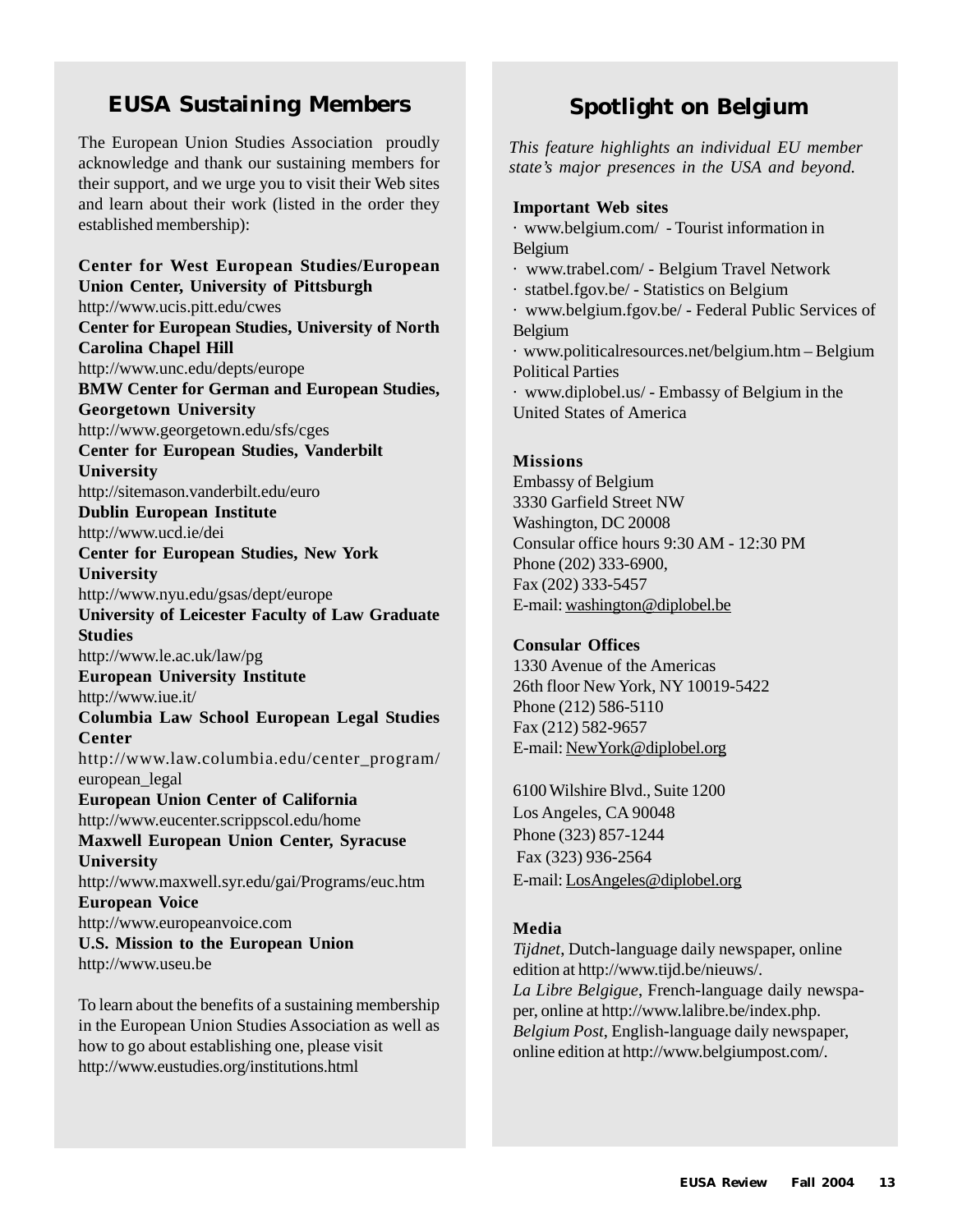### **EUSA Sustaining Members**

The European Union Studies Association proudly acknowledge and thank our sustaining members for their support, and we urge you to visit their Web sites and learn about their work (listed in the order they established membership):

**Center for West European Studies/European Union Center, University of Pittsburgh** http://www.ucis.pitt.edu/cwes **Center for European Studies, University of North Carolina Chapel Hill** http://www.unc.edu/depts/europe **BMW Center for German and European Studies, Georgetown University** http://www.georgetown.edu/sfs/cges **Center for European Studies, Vanderbilt University** http://sitemason.vanderbilt.edu/euro **Dublin European Institute** http://www.ucd.ie/dei **Center for European Studies, New York University** http://www.nyu.edu/gsas/dept/europe **University of Leicester Faculty of Law Graduate Studies** http://www.le.ac.uk/law/pg **European University Institute** http://www.iue.it/ **Columbia Law School European Legal Studies Center** http://www.law.columbia.edu/center\_program/ european\_legal **European Union Center of California** http://www.eucenter.scrippscol.edu/home **Maxwell European Union Center, Syracuse University** http://www.maxwell.syr.edu/gai/Programs/euc.htm **European Voice** http://www.europeanvoice.com **U.S. Mission to the European Union** http://www.useu.be

To learn about the benefits of a sustaining membership in the European Union Studies Association as well as how to go about establishing one, please visit http://www.eustudies.org/institutions.html

### **Spotlight on Belgium**

*This feature highlights an individual EU member state's major presences in the USA and beyond.*

#### **Important Web sites**

· www.belgium.com/ - Tourist information in Belgium

· www.trabel.com/ - Belgium Travel Network

· statbel.fgov.be/ - Statistics on Belgium

· www.belgium.fgov.be/ - Federal Public Services of Belgium

· www.politicalresources.net/belgium.htm – Belgium Political Parties

· www.diplobel.us/ - Embassy of Belgium in the United States of America

### **Missions**

Embassy of Belgium 3330 Garfield Street NW Washington, DC 20008 Consular office hours 9:30 AM - 12:30 PM Phone (202) 333-6900, Fax (202) 333-5457 E-mail: washington@diplobel.be

#### **Consular Offices**

1330 Avenue of the Americas 26th floor New York, NY 10019-5422 Phone (212) 586-5110 Fax (212) 582-9657 E-mail: NewYork@diplobel.org

6100 Wilshire Blvd., Suite 1200 Los Angeles, CA 90048 Phone (323) 857-1244 Fax (323) 936-2564 E-mail: LosAngeles@diplobel.org

#### **Media**

*Tijdnet*, Dutch-language daily newspaper, online edition at http://www.tijd.be/nieuws/. *La Libre Belgigue*, French-language daily newspaper, online at http://www.lalibre.be/index.php. *Belgium Post*, English-language daily newspaper, online edition at http://www.belgiumpost.com/.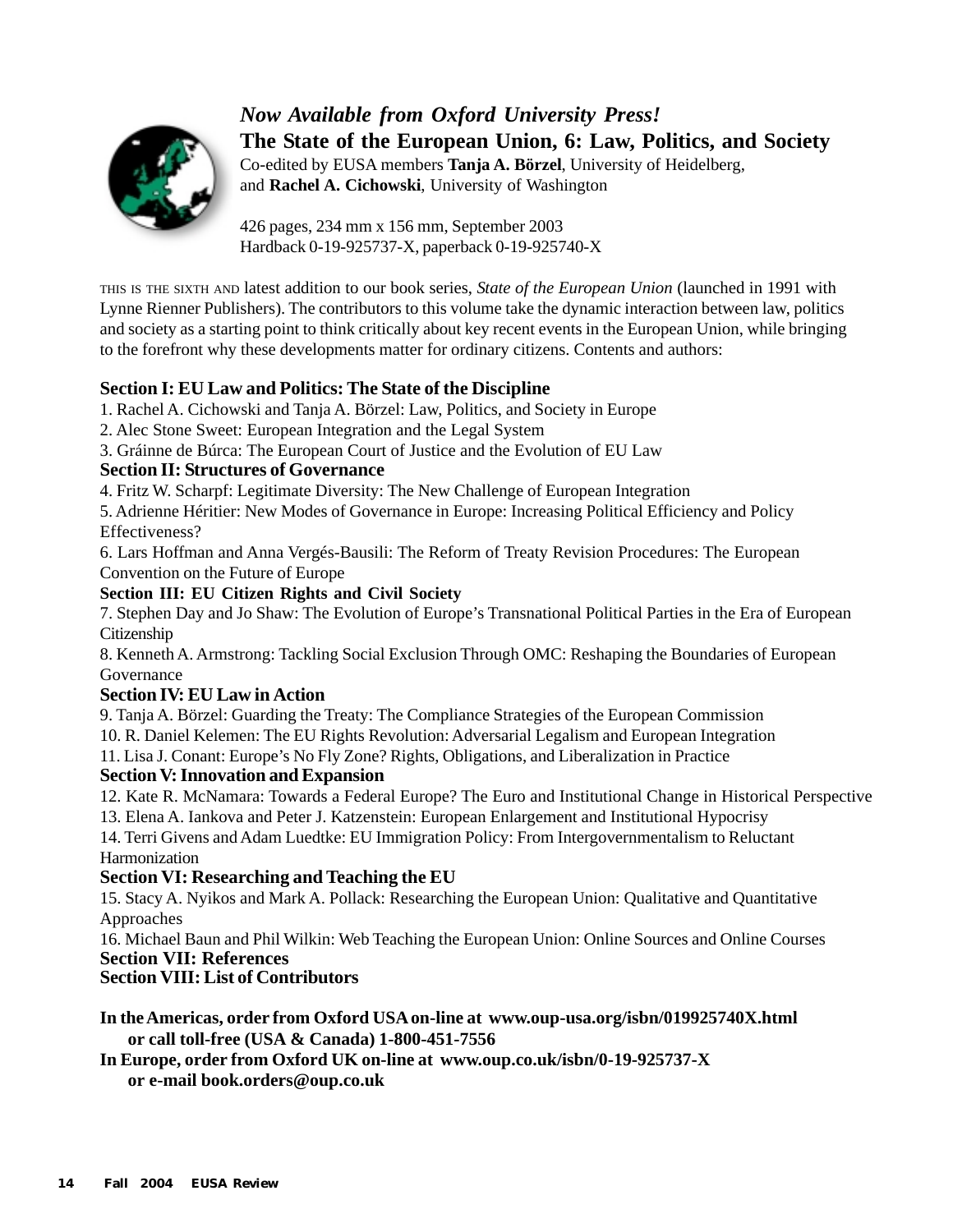

*Now Available from Oxford University Press!* **The State of the European Union, 6: Law, Politics, and Society** Co-edited by EUSA members **Tanja A. Börzel**, University of Heidelberg, and **Rachel A. Cichowski**, University of Washington

426 pages, 234 mm x 156 mm, September 2003 Hardback 0-19-925737-X, paperback 0-19-925740-X

THIS IS THE SIXTH AND latest addition to our book series, *State of the European Union* (launched in 1991 with Lynne Rienner Publishers). The contributors to this volume take the dynamic interaction between law, politics and society as a starting point to think critically about key recent events in the European Union, while bringing to the forefront why these developments matter for ordinary citizens. Contents and authors:

### **Section I: EU Law and Politics: The State of the Discipline**

- 1. Rachel A. Cichowski and Tanja A. Börzel: Law, Politics, and Society in Europe
- 2. Alec Stone Sweet: European Integration and the Legal System
- 3. Gráinne de Búrca: The European Court of Justice and the Evolution of EU Law

### **Section II: Structures of Governance**

4. Fritz W. Scharpf: Legitimate Diversity: The New Challenge of European Integration

5. Adrienne Héritier: New Modes of Governance in Europe: Increasing Political Efficiency and Policy Effectiveness?

6. Lars Hoffman and Anna Vergés-Bausili: The Reform of Treaty Revision Procedures: The European Convention on the Future of Europe

### **Section III: EU Citizen Rights and Civil Society**

7. Stephen Day and Jo Shaw: The Evolution of Europe's Transnational Political Parties in the Era of European Citizenship

8. Kenneth A. Armstrong: Tackling Social Exclusion Through OMC: Reshaping the Boundaries of European Governance

### **Section IV: EU Law in Action**

9. Tanja A. Börzel: Guarding the Treaty: The Compliance Strategies of the European Commission

10. R. Daniel Kelemen: The EU Rights Revolution: Adversarial Legalism and European Integration

11. Lisa J. Conant: Europe's No Fly Zone? Rights, Obligations, and Liberalization in Practice

### **Section V: Innovation and Expansion**

12. Kate R. McNamara: Towards a Federal Europe? The Euro and Institutional Change in Historical Perspective

13. Elena A. Iankova and Peter J. Katzenstein: European Enlargement and Institutional Hypocrisy 14. Terri Givens and Adam Luedtke: EU Immigration Policy: From Intergovernmentalism to Reluctant Harmonization

### **Section VI: Researching and Teaching the EU**

15. Stacy A. Nyikos and Mark A. Pollack: Researching the European Union: Qualitative and Quantitative Approaches

16. Michael Baun and Phil Wilkin: Web Teaching the European Union: Online Sources and Online Courses **Section VII: References**

### **Section VIII: List of Contributors**

**In the Americas, order from Oxford USA on-line at www.oup-usa.org/isbn/019925740X.html or call toll-free (USA & Canada) 1-800-451-7556**

**In Europe, order from Oxford UK on-line at www.oup.co.uk/isbn/0-19-925737-X or e-mail book.orders@oup.co.uk**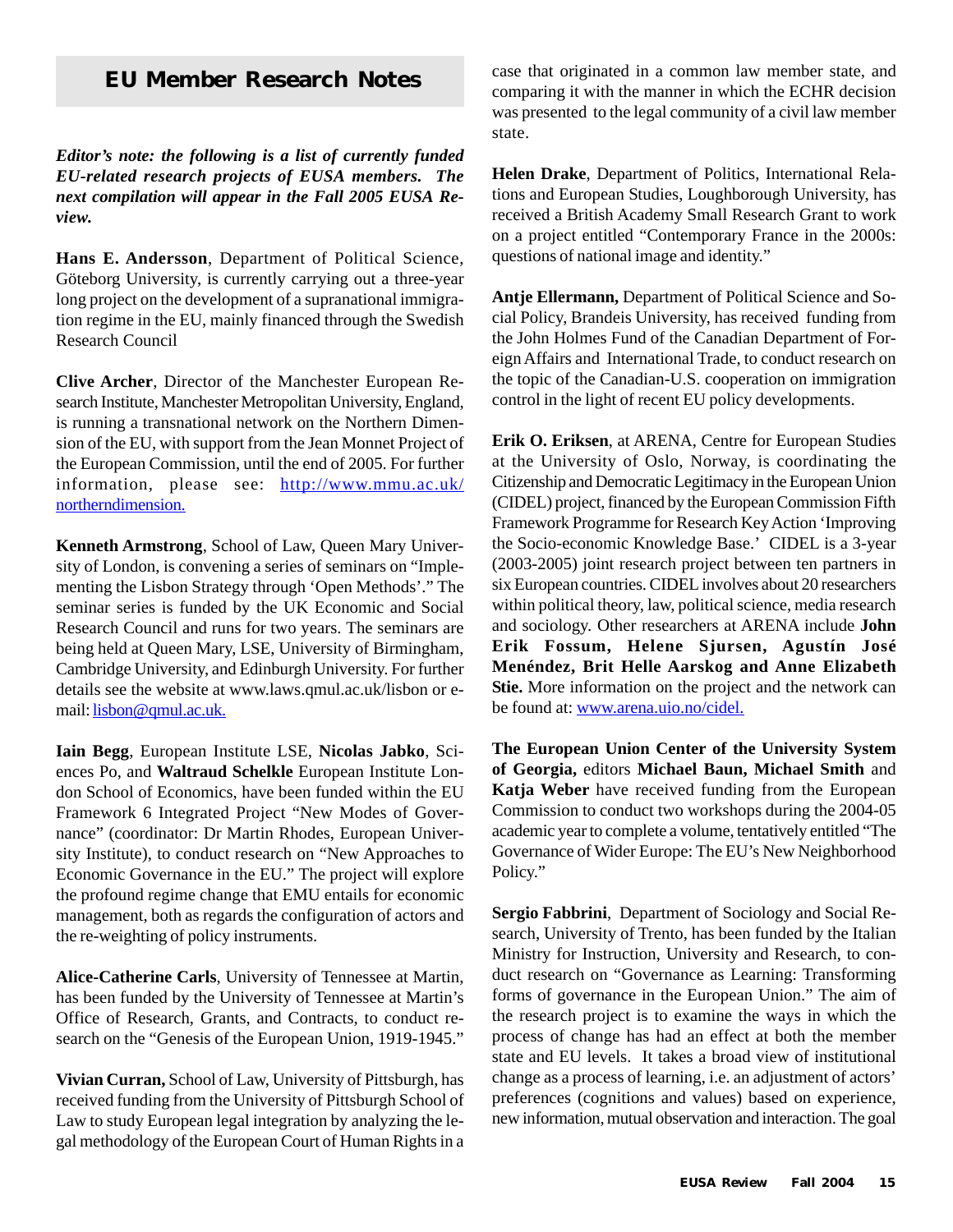## **EU Member Research Notes**

*Editor's note: the following is a list of currently funded EU-related research projects of EUSA members. The next compilation will appear in the Fall 2005 EUSA Review.*

**Hans E. Andersson**, Department of Political Science, Göteborg University, is currently carrying out a three-year long project on the development of a supranational immigration regime in the EU, mainly financed through the Swedish Research Council

**Clive Archer**, Director of the Manchester European Research Institute, Manchester Metropolitan University, England, is running a transnational network on the Northern Dimension of the EU, with support from the Jean Monnet Project of the European Commission, until the end of 2005. For further information, please see: http://www.mmu.ac.uk/ northerndimension.

**Kenneth Armstrong**, School of Law, Queen Mary University of London, is convening a series of seminars on "Implementing the Lisbon Strategy through 'Open Methods'." The seminar series is funded by the UK Economic and Social Research Council and runs for two years. The seminars are being held at Queen Mary, LSE, University of Birmingham, Cambridge University, and Edinburgh University. For further details see the website at www.laws.qmul.ac.uk/lisbon or email: lisbon@qmul.ac.uk.

**Iain Begg**, European Institute LSE, **Nicolas Jabko**, Sciences Po, and **Waltraud Schelkle** European Institute London School of Economics, have been funded within the EU Framework 6 Integrated Project "New Modes of Governance" (coordinator: Dr Martin Rhodes, European University Institute), to conduct research on "New Approaches to Economic Governance in the EU." The project will explore the profound regime change that EMU entails for economic management, both as regards the configuration of actors and the re-weighting of policy instruments.

**Alice-Catherine Carls**, University of Tennessee at Martin, has been funded by the University of Tennessee at Martin's Office of Research, Grants, and Contracts, to conduct research on the "Genesis of the European Union, 1919-1945."

**Vivian Curran,** School of Law, University of Pittsburgh, has received funding from the University of Pittsburgh School of Law to study European legal integration by analyzing the legal methodology of the European Court of Human Rights in a case that originated in a common law member state, and comparing it with the manner in which the ECHR decision was presented to the legal community of a civil law member state.

**Helen Drake**, Department of Politics, International Relations and European Studies, Loughborough University, has received a British Academy Small Research Grant to work on a project entitled "Contemporary France in the 2000s: questions of national image and identity."

**Antje Ellermann,** Department of Political Science and Social Policy, Brandeis University, has received funding from the John Holmes Fund of the Canadian Department of Foreign Affairs and International Trade, to conduct research on the topic of the Canadian-U.S. cooperation on immigration control in the light of recent EU policy developments.

**Erik O. Eriksen**, at ARENA, Centre for European Studies at the University of Oslo, Norway, is coordinating the Citizenship and Democratic Legitimacy in the European Union (CIDEL) project, financed by the European Commission Fifth Framework Programme for Research Key Action 'Improving the Socio-economic Knowledge Base.' CIDEL is a 3-year (2003-2005) joint research project between ten partners in six European countries. CIDEL involves about 20 researchers within political theory, law, political science, media research and sociology. Other researchers at ARENA include **John Erik Fossum, Helene Sjursen, Agustín José Menéndez, Brit Helle Aarskog and Anne Elizabeth Stie.** More information on the project and the network can be found at: www.arena.uio.no/cidel.

**The European Union Center of the University System of Georgia,** editors **Michael Baun, Michael Smith** and **Katja Weber** have received funding from the European Commission to conduct two workshops during the 2004-05 academic year to complete a volume, tentatively entitled "The Governance of Wider Europe: The EU's New Neighborhood Policy."

**Sergio Fabbrini**, Department of Sociology and Social Research, University of Trento, has been funded by the Italian Ministry for Instruction, University and Research, to conduct research on "Governance as Learning: Transforming forms of governance in the European Union." The aim of the research project is to examine the ways in which the process of change has had an effect at both the member state and EU levels. It takes a broad view of institutional change as a process of learning, i.e. an adjustment of actors' preferences (cognitions and values) based on experience, new information, mutual observation and interaction. The goal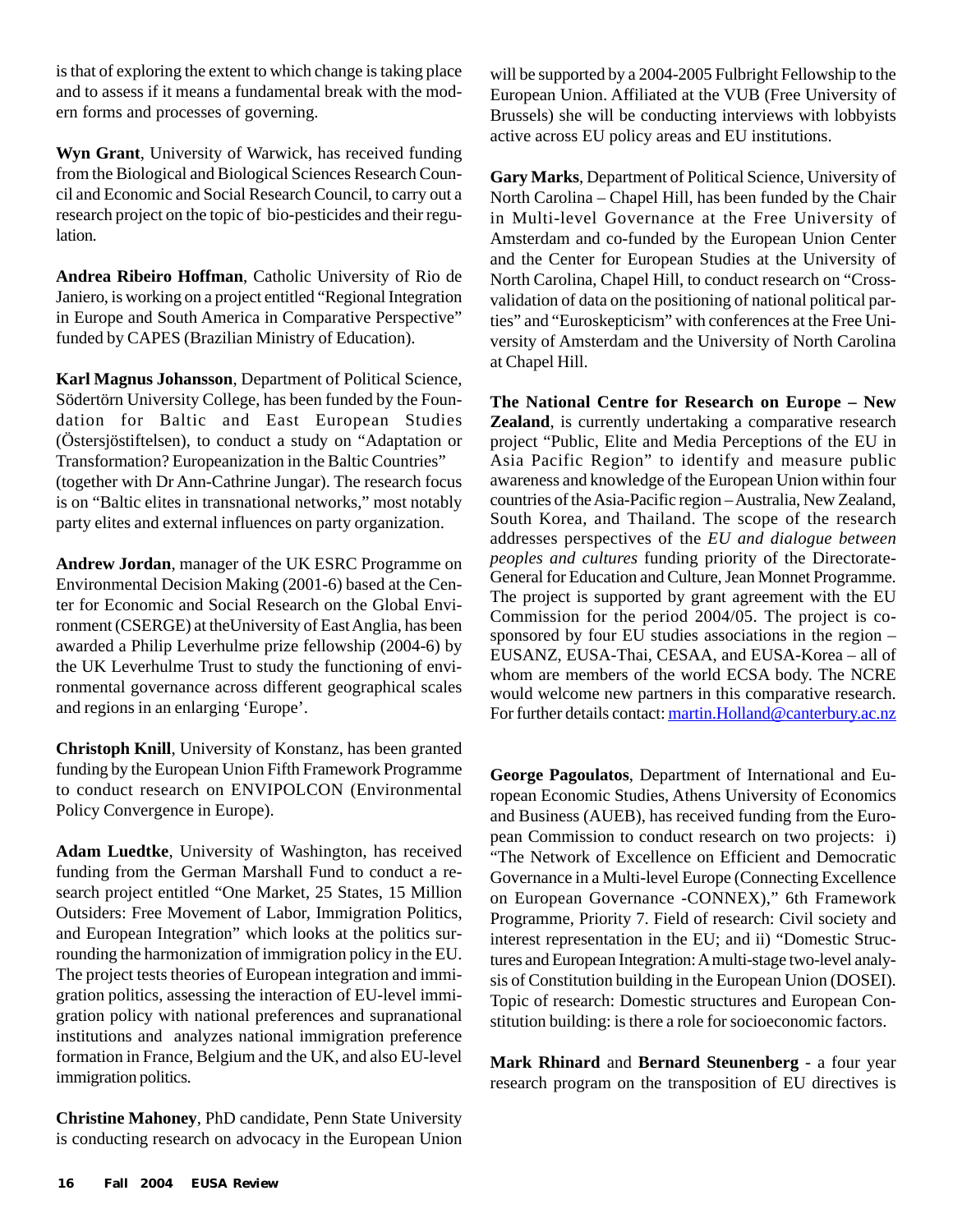is that of exploring the extent to which change is taking place and to assess if it means a fundamental break with the modern forms and processes of governing.

**Wyn Grant**, University of Warwick, has received funding from the Biological and Biological Sciences Research Council and Economic and Social Research Council, to carry out a research project on the topic of bio-pesticides and their regulation.

**Andrea Ribeiro Hoffman**, Catholic University of Rio de Janiero, is working on a project entitled "Regional Integration in Europe and South America in Comparative Perspective" funded by CAPES (Brazilian Ministry of Education).

**Karl Magnus Johansson**, Department of Political Science, Södertörn University College, has been funded by the Foundation for Baltic and East European Studies (Östersjöstiftelsen), to conduct a study on "Adaptation or Transformation? Europeanization in the Baltic Countries" (together with Dr Ann-Cathrine Jungar). The research focus is on "Baltic elites in transnational networks," most notably party elites and external influences on party organization.

**Andrew Jordan**, manager of the UK ESRC Programme on Environmental Decision Making (2001-6) based at the Center for Economic and Social Research on the Global Environment (CSERGE) at theUniversity of East Anglia, has been awarded a Philip Leverhulme prize fellowship (2004-6) by the UK Leverhulme Trust to study the functioning of environmental governance across different geographical scales and regions in an enlarging 'Europe'.

**Christoph Knill**, University of Konstanz, has been granted funding by the European Union Fifth Framework Programme to conduct research on ENVIPOLCON (Environmental Policy Convergence in Europe).

**Adam Luedtke**, University of Washington, has received funding from the German Marshall Fund to conduct a research project entitled "One Market, 25 States, 15 Million Outsiders: Free Movement of Labor, Immigration Politics, and European Integration" which looks at the politics surrounding the harmonization of immigration policy in the EU. The project tests theories of European integration and immigration politics, assessing the interaction of EU-level immigration policy with national preferences and supranational institutions and analyzes national immigration preference formation in France, Belgium and the UK, and also EU-level immigration politics.

**Christine Mahoney**, PhD candidate, Penn State University is conducting research on advocacy in the European Union will be supported by a 2004-2005 Fulbright Fellowship to the European Union. Affiliated at the VUB (Free University of Brussels) she will be conducting interviews with lobbyists active across EU policy areas and EU institutions.

**Gary Marks**, Department of Political Science, University of North Carolina – Chapel Hill, has been funded by the Chair in Multi-level Governance at the Free University of Amsterdam and co-funded by the European Union Center and the Center for European Studies at the University of North Carolina, Chapel Hill, to conduct research on "Crossvalidation of data on the positioning of national political parties" and "Euroskepticism" with conferences at the Free University of Amsterdam and the University of North Carolina at Chapel Hill.

**The National Centre for Research on Europe – New Zealand**, is currently undertaking a comparative research project "Public, Elite and Media Perceptions of the EU in Asia Pacific Region" to identify and measure public awareness and knowledge of the European Union within four countries of the Asia-Pacific region – Australia, New Zealand, South Korea, and Thailand. The scope of the research addresses perspectives of the *EU and dialogue between peoples and cultures* funding priority of the Directorate-General for Education and Culture, Jean Monnet Programme. The project is supported by grant agreement with the EU Commission for the period 2004/05. The project is cosponsored by four EU studies associations in the region – EUSANZ, EUSA-Thai, CESAA, and EUSA-Korea – all of whom are members of the world ECSA body. The NCRE would welcome new partners in this comparative research. For further details contact: martin.Holland@canterbury.ac.nz

**George Pagoulatos**, Department of International and European Economic Studies, Athens University of Economics and Business (AUEB), has received funding from the European Commission to conduct research on two projects: i) "The Network of Excellence on Efficient and Democratic Governance in a Multi-level Europe (Connecting Excellence on European Governance -CONNEX)," 6th Framework Programme, Priority 7. Field of research: Civil society and interest representation in the EU; and ii) "Domestic Structures and European Integration: A multi-stage two-level analysis of Constitution building in the European Union (DOSEI). Topic of research: Domestic structures and European Constitution building: is there a role for socioeconomic factors.

**Mark Rhinard** and **Bernard Steunenberg** - a four year research program on the transposition of EU directives is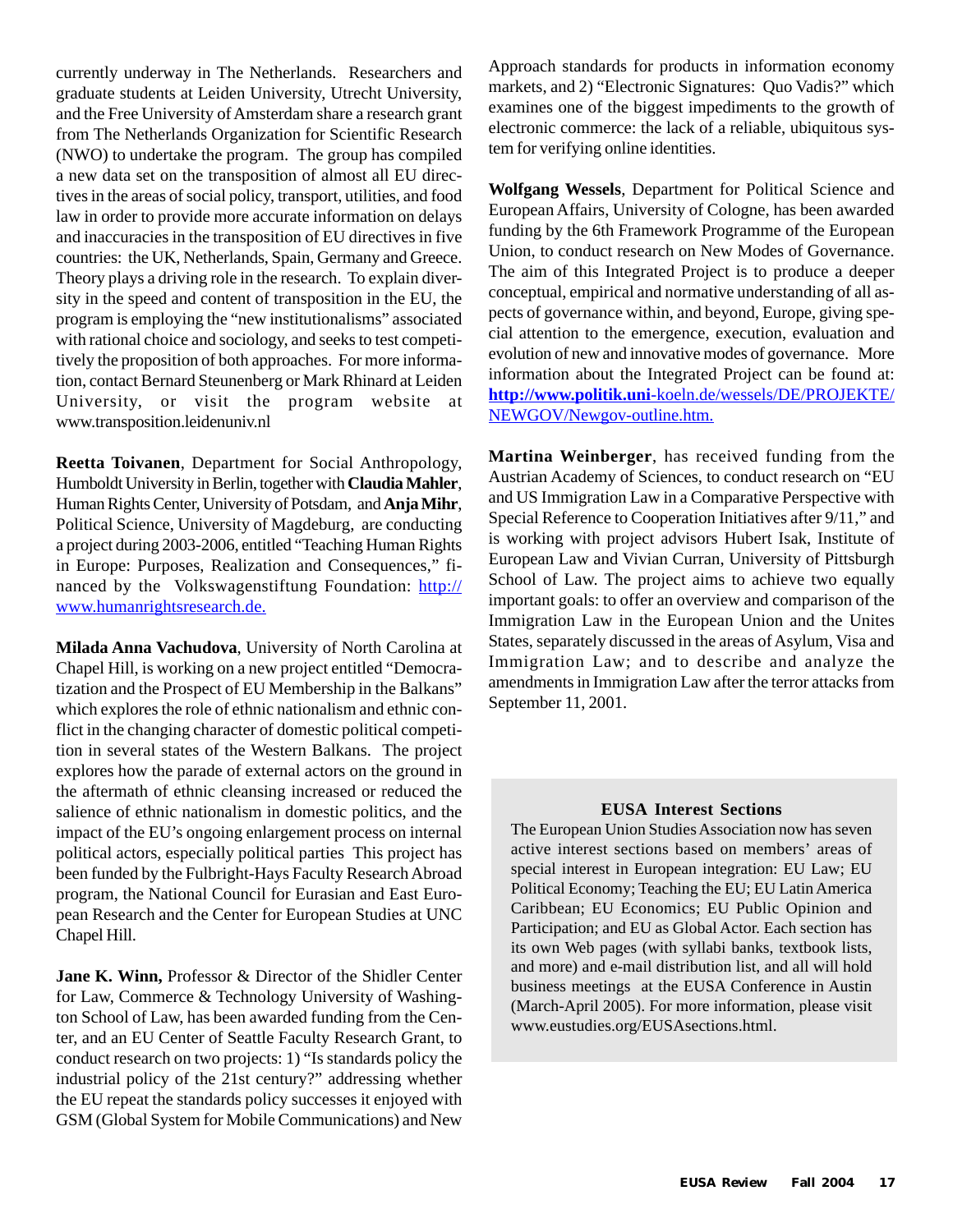currently underway in The Netherlands. Researchers and graduate students at Leiden University, Utrecht University, and the Free University of Amsterdam share a research grant from The Netherlands Organization for Scientific Research (NWO) to undertake the program. The group has compiled a new data set on the transposition of almost all EU directives in the areas of social policy, transport, utilities, and food law in order to provide more accurate information on delays and inaccuracies in the transposition of EU directives in five countries: the UK, Netherlands, Spain, Germany and Greece. Theory plays a driving role in the research. To explain diversity in the speed and content of transposition in the EU, the program is employing the "new institutionalisms" associated with rational choice and sociology, and seeks to test competitively the proposition of both approaches. For more information, contact Bernard Steunenberg or Mark Rhinard at Leiden University, or visit the program website at www.transposition.leidenuniv.nl

**Reetta Toivanen**, Department for Social Anthropology, Humboldt University in Berlin, together with **Claudia Mahler**, Human Rights Center, University of Potsdam, and **Anja Mihr**, Political Science, University of Magdeburg, are conducting a project during 2003-2006, entitled "Teaching Human Rights in Europe: Purposes, Realization and Consequences," financed by the Volkswagenstiftung Foundation: http:// www.humanrightsresearch.de.

**Milada Anna Vachudova**, University of North Carolina at Chapel Hill, is working on a new project entitled "Democratization and the Prospect of EU Membership in the Balkans" which explores the role of ethnic nationalism and ethnic conflict in the changing character of domestic political competition in several states of the Western Balkans. The project explores how the parade of external actors on the ground in the aftermath of ethnic cleansing increased or reduced the salience of ethnic nationalism in domestic politics, and the impact of the EU's ongoing enlargement process on internal political actors, especially political parties This project has been funded by the Fulbright-Hays Faculty Research Abroad program, the National Council for Eurasian and East European Research and the Center for European Studies at UNC Chapel Hill.

**Jane K. Winn,** Professor & Director of the Shidler Center for Law, Commerce & Technology University of Washington School of Law, has been awarded funding from the Center, and an EU Center of Seattle Faculty Research Grant, to conduct research on two projects: 1) "Is standards policy the industrial policy of the 21st century?" addressing whether the EU repeat the standards policy successes it enjoyed with GSM (Global System for Mobile Communications) and New

Approach standards for products in information economy markets, and 2) "Electronic Signatures: Quo Vadis?" which examines one of the biggest impediments to the growth of electronic commerce: the lack of a reliable, ubiquitous system for verifying online identities.

**Wolfgang Wessels**, Department for Political Science and European Affairs, University of Cologne, has been awarded funding by the 6th Framework Programme of the European Union, to conduct research on New Modes of Governance. The aim of this Integrated Project is to produce a deeper conceptual, empirical and normative understanding of all aspects of governance within, and beyond, Europe, giving special attention to the emergence, execution, evaluation and evolution of new and innovative modes of governance. More information about the Integrated Project can be found at: **http://www.politik.uni**-koeln.de/wessels/DE/PROJEKTE/ NEWGOV/Newgov-outline.htm.

**Martina Weinberger**, has received funding from the Austrian Academy of Sciences, to conduct research on "EU and US Immigration Law in a Comparative Perspective with Special Reference to Cooperation Initiatives after 9/11," and is working with project advisors Hubert Isak, Institute of European Law and Vivian Curran, University of Pittsburgh School of Law. The project aims to achieve two equally important goals: to offer an overview and comparison of the Immigration Law in the European Union and the Unites States, separately discussed in the areas of Asylum, Visa and Immigration Law; and to describe and analyze the amendments in Immigration Law after the terror attacks from September 11, 2001.

#### **EUSA Interest Sections**

The European Union Studies Association now has seven active interest sections based on members' areas of special interest in European integration: EU Law; EU Political Economy; Teaching the EU; EU Latin America Caribbean; EU Economics; EU Public Opinion and Participation; and EU as Global Actor. Each section has its own Web pages (with syllabi banks, textbook lists, and more) and e-mail distribution list, and all will hold business meetings at the EUSA Conference in Austin (March-April 2005). For more information, please visit www.eustudies.org/EUSAsections.html.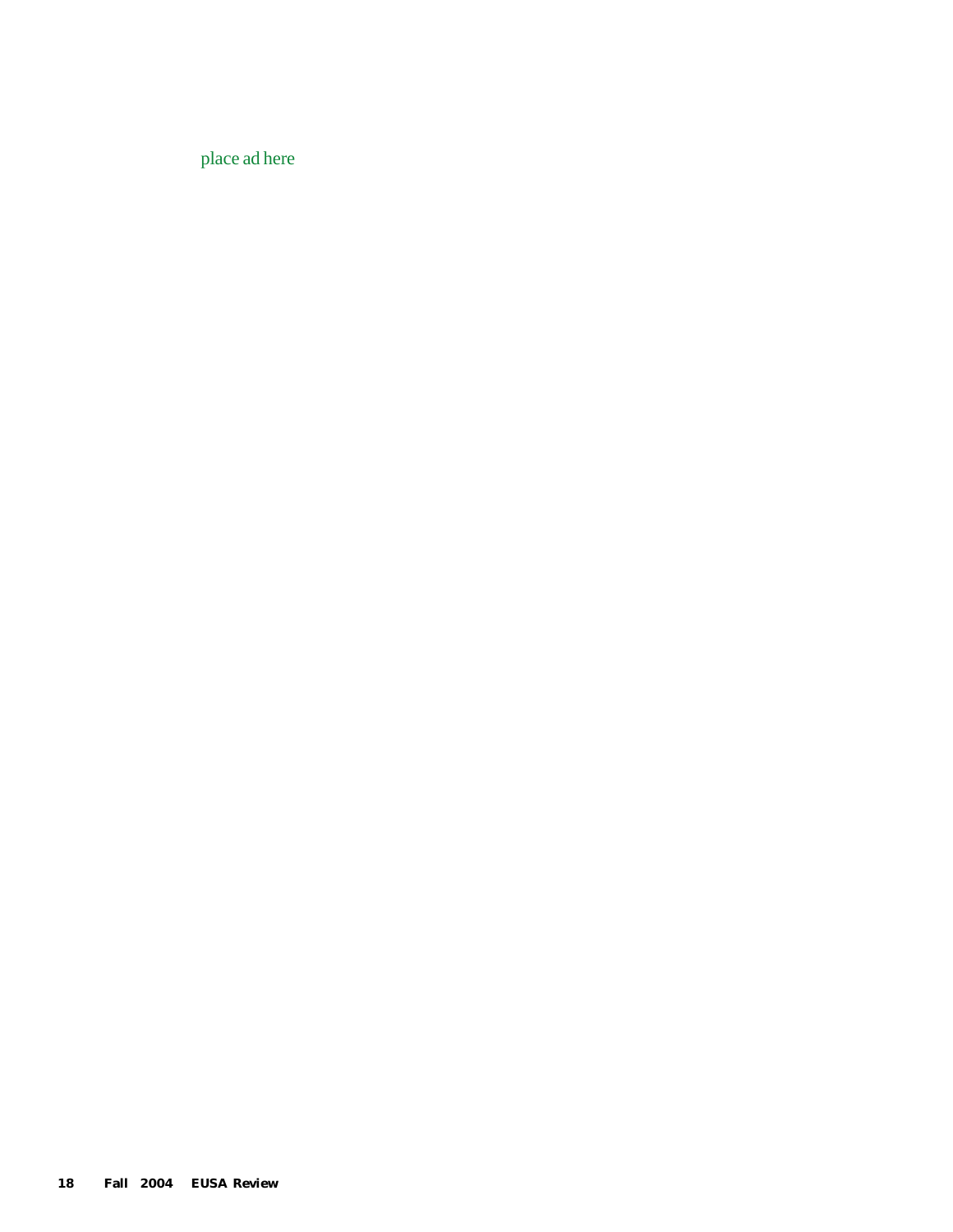place ad here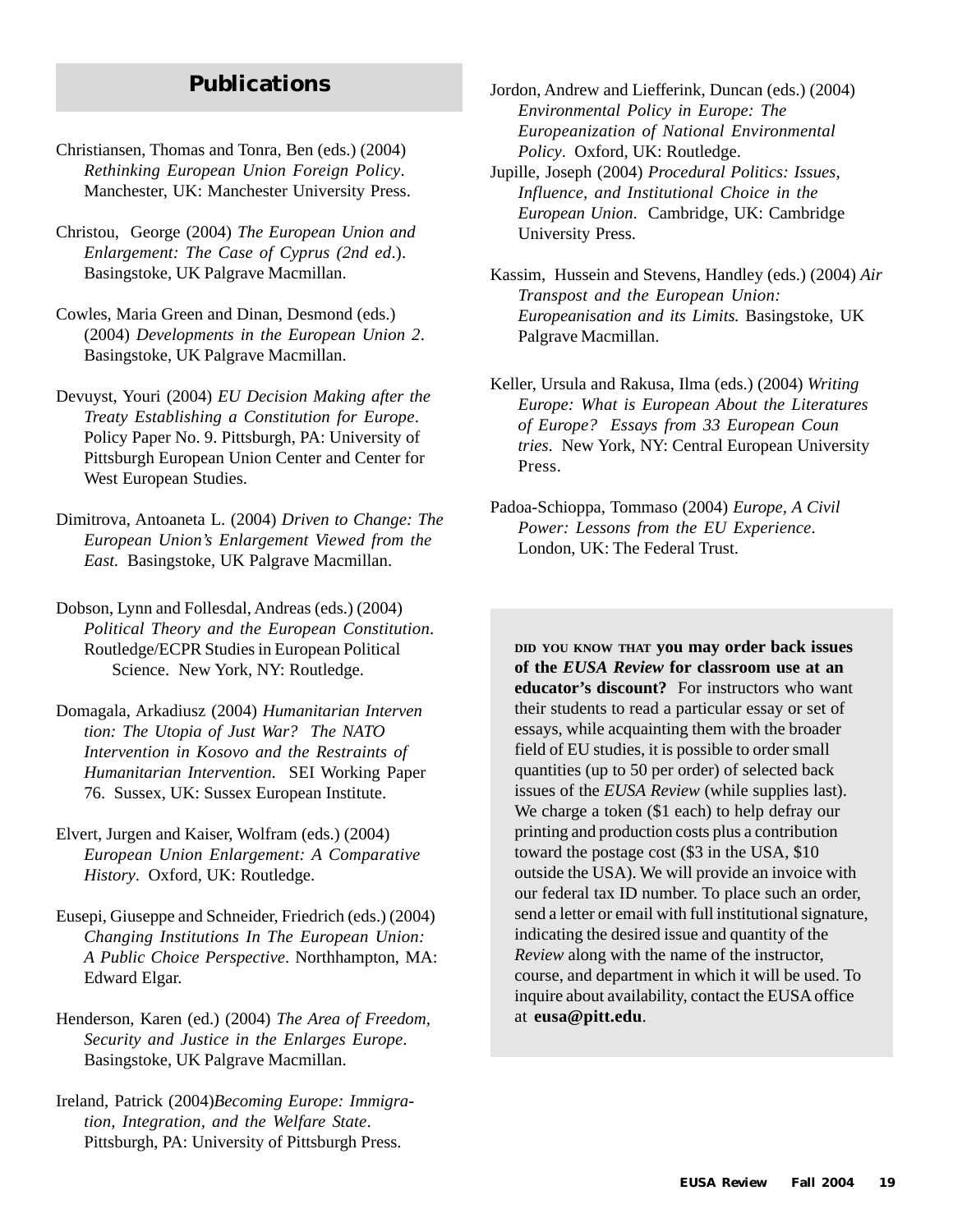## **Publications**

- Christiansen, Thomas and Tonra, Ben (eds.) (2004) *Rethinking European Union Foreign Policy*. Manchester, UK: Manchester University Press.
- Christou, George (2004) *The European Union and Enlargement: The Case of Cyprus (2nd ed*.). Basingstoke, UK Palgrave Macmillan.
- Cowles, Maria Green and Dinan, Desmond (eds.) (2004) *Developments in the European Union 2*. Basingstoke, UK Palgrave Macmillan.
- Devuyst, Youri (2004) *EU Decision Making after the Treaty Establishing a Constitution for Europe*. Policy Paper No. 9. Pittsburgh, PA: University of Pittsburgh European Union Center and Center for West European Studies.
- Dimitrova, Antoaneta L. (2004) *Driven to Change: The European Union's Enlargement Viewed from the East.* Basingstoke, UK Palgrave Macmillan.
- Dobson, Lynn and Follesdal, Andreas (eds.) (2004) *Political Theory and the European Constitution*. Routledge/ECPR Studies in European Political Science. New York, NY: Routledge.
- Domagala, Arkadiusz (2004) *Humanitarian Interven tion: The Utopia of Just War? The NATO Intervention in Kosovo and the Restraints of Humanitarian Intervention*. SEI Working Paper 76. Sussex, UK: Sussex European Institute.
- Elvert, Jurgen and Kaiser, Wolfram (eds.) (2004) *European Union Enlargement: A Comparative History*. Oxford, UK: Routledge.
- Eusepi, Giuseppe and Schneider, Friedrich (eds.) (2004) *Changing Institutions In The European Union: A Public Choice Perspective*. Northhampton, MA: Edward Elgar.
- Henderson, Karen (ed.) (2004) *The Area of Freedom, Security and Justice in the Enlarges Europe*. Basingstoke, UK Palgrave Macmillan.
- Ireland, Patrick (2004)*Becoming Europe: Immigration, Integration, and the Welfare State*. Pittsburgh, PA: University of Pittsburgh Press.

Jordon, Andrew and Liefferink, Duncan (eds.) (2004) *Environmental Policy in Europe: The Europeanization of National Environmental Policy*. Oxford, UK: Routledge.

- Jupille, Joseph (2004) *Procedural Politics: Issues, Influence, and Institutional Choice in the European Union*. Cambridge, UK: Cambridge University Press.
- Kassim, Hussein and Stevens, Handley (eds.) (2004) *Air Transpost and the European Union: Europeanisation and its Limits.* Basingstoke, UK Palgrave Macmillan.
- Keller, Ursula and Rakusa, Ilma (eds.) (2004) *Writing Europe: What is European About the Literatures of Europe? Essays from 33 European Coun tries*. New York, NY: Central European University Press.
- Padoa-Schioppa, Tommaso (2004) *Europe, A Civil Power: Lessons from the EU Experience*. London, UK: The Federal Trust.

**DID YOU KNOW THAT you may order back issues of the** *EUSA Review* **for classroom use at an educator's discount?** For instructors who want their students to read a particular essay or set of essays, while acquainting them with the broader field of EU studies, it is possible to order small quantities (up to 50 per order) of selected back issues of the *EUSA Review* (while supplies last). We charge a token (\$1 each) to help defray our printing and production costs plus a contribution toward the postage cost (\$3 in the USA, \$10 outside the USA). We will provide an invoice with our federal tax ID number. To place such an order, send a letter or email with full institutional signature, indicating the desired issue and quantity of the *Review* along with the name of the instructor, course, and department in which it will be used. To inquire about availability, contact the EUSA office at **eusa@pitt.edu**.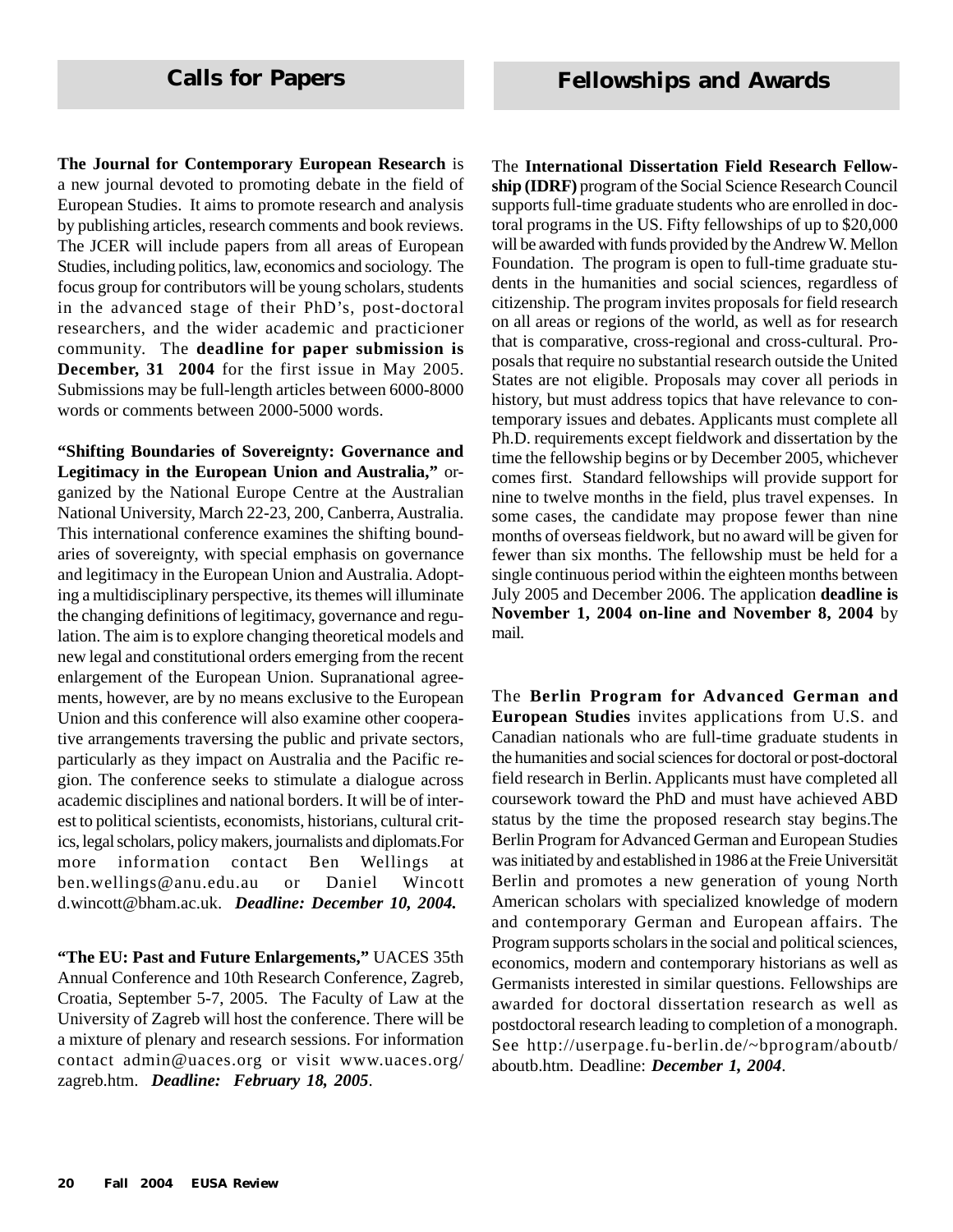**The Journal for Contemporary European Research** is a new journal devoted to promoting debate in the field of European Studies. It aims to promote research and analysis by publishing articles, research comments and book reviews. The JCER will include papers from all areas of European Studies, including politics, law, economics and sociology. The focus group for contributors will be young scholars, students in the advanced stage of their PhD's, post-doctoral researchers, and the wider academic and practicioner community. The **deadline for paper submission is December, 31 2004** for the first issue in May 2005. Submissions may be full-length articles between 6000-8000 words or comments between 2000-5000 words.

**"Shifting Boundaries of Sovereignty: Governance and Legitimacy in the European Union and Australia,"** organized by the National Europe Centre at the Australian National University, March 22-23, 200, Canberra, Australia. This international conference examines the shifting boundaries of sovereignty, with special emphasis on governance and legitimacy in the European Union and Australia. Adopting a multidisciplinary perspective, its themes will illuminate the changing definitions of legitimacy, governance and regulation. The aim is to explore changing theoretical models and new legal and constitutional orders emerging from the recent enlargement of the European Union. Supranational agreements, however, are by no means exclusive to the European Union and this conference will also examine other cooperative arrangements traversing the public and private sectors, particularly as they impact on Australia and the Pacific region. The conference seeks to stimulate a dialogue across academic disciplines and national borders. It will be of interest to political scientists, economists, historians, cultural critics, legal scholars, policy makers, journalists and diplomats.For more information contact Ben Wellings at ben.wellings@anu.edu.au or Daniel Wincott d.wincott@bham.ac.uk. *Deadline: December 10, 2004.*

**"The EU: Past and Future Enlargements,"** UACES 35th Annual Conference and 10th Research Conference, Zagreb, Croatia, September 5-7, 2005. The Faculty of Law at the University of Zagreb will host the conference. There will be a mixture of plenary and research sessions. For information contact admin@uaces.org or visit www.uaces.org/ zagreb.htm. *Deadline: February 18, 2005*.

The **International Dissertation Field Research Fellowship (IDRF)** program of the Social Science Research Council supports full-time graduate students who are enrolled in doctoral programs in the US. Fifty fellowships of up to \$20,000 will be awarded with funds provided by the Andrew W. Mellon Foundation. The program is open to full-time graduate students in the humanities and social sciences, regardless of citizenship. The program invites proposals for field research on all areas or regions of the world, as well as for research that is comparative, cross-regional and cross-cultural. Proposals that require no substantial research outside the United States are not eligible. Proposals may cover all periods in history, but must address topics that have relevance to contemporary issues and debates. Applicants must complete all Ph.D. requirements except fieldwork and dissertation by the time the fellowship begins or by December 2005, whichever comes first. Standard fellowships will provide support for nine to twelve months in the field, plus travel expenses. In some cases, the candidate may propose fewer than nine months of overseas fieldwork, but no award will be given for fewer than six months. The fellowship must be held for a single continuous period within the eighteen months between July 2005 and December 2006. The application **deadline is November 1, 2004 on-line and November 8, 2004** by mail.

The **Berlin Program for Advanced German and European Studies** invites applications from U.S. and Canadian nationals who are full-time graduate students in the humanities and social sciences for doctoral or post-doctoral field research in Berlin. Applicants must have completed all coursework toward the PhD and must have achieved ABD status by the time the proposed research stay begins.The Berlin Program for Advanced German and European Studies was initiated by and established in 1986 at the Freie Universität Berlin and promotes a new generation of young North American scholars with specialized knowledge of modern and contemporary German and European affairs. The Program supports scholars in the social and political sciences, economics, modern and contemporary historians as well as Germanists interested in similar questions. Fellowships are awarded for doctoral dissertation research as well as postdoctoral research leading to completion of a monograph. See http://userpage.fu-berlin.de/~bprogram/aboutb/ aboutb.htm. Deadline: *December 1, 2004*.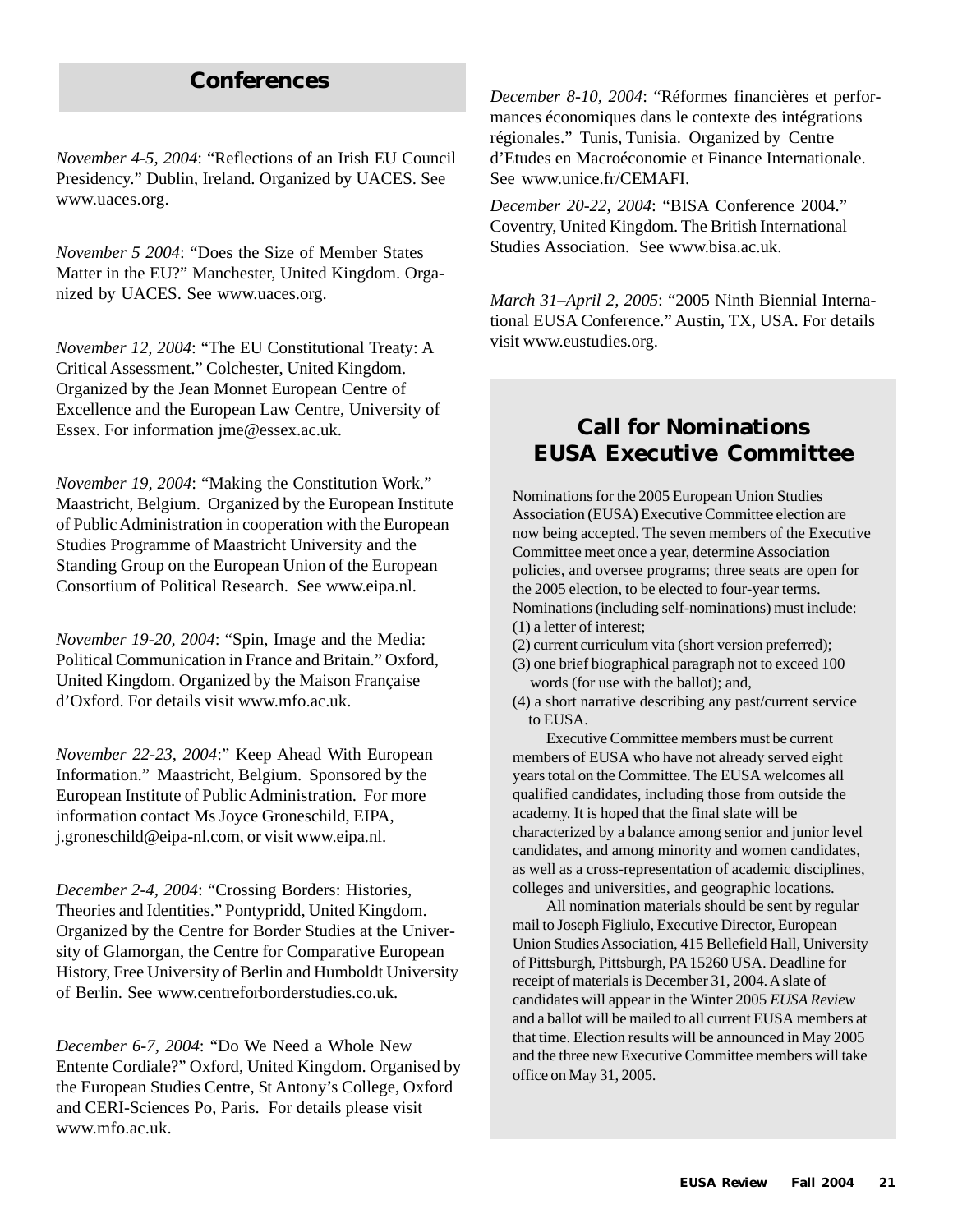### **Conferences**

*November 4-5, 2004*: "Reflections of an Irish EU Council Presidency." Dublin, Ireland. Organized by UACES. See www.uaces.org.

*November 5 2004*: "Does the Size of Member States Matter in the EU?" Manchester, United Kingdom. Organized by UACES. See www.uaces.org.

*November 12, 2004*: "The EU Constitutional Treaty: A Critical Assessment." Colchester, United Kingdom. Organized by the Jean Monnet European Centre of Excellence and the European Law Centre, University of Essex. For information jme@essex.ac.uk.

*November 19, 2004*: "Making the Constitution Work." Maastricht, Belgium. Organized by the European Institute of Public Administration in cooperation with the European Studies Programme of Maastricht University and the Standing Group on the European Union of the European Consortium of Political Research. See www.eipa.nl.

*November 19-20, 2004*: "Spin, Image and the Media: Political Communication in France and Britain." Oxford, United Kingdom. Organized by the Maison Française d'Oxford. For details visit www.mfo.ac.uk.

*November 22-23, 2004*:" Keep Ahead With European Information." Maastricht, Belgium. Sponsored by the European Institute of Public Administration. For more information contact Ms Joyce Groneschild, EIPA, j.groneschild@eipa-nl.com, or visit www.eipa.nl.

*December 2-4, 2004*: "Crossing Borders: Histories, Theories and Identities." Pontypridd, United Kingdom. Organized by the Centre for Border Studies at the University of Glamorgan, the Centre for Comparative European History, Free University of Berlin and Humboldt University of Berlin. See www.centreforborderstudies.co.uk.

*December 6-7, 2004*: "Do We Need a Whole New Entente Cordiale?" Oxford, United Kingdom. Organised by the European Studies Centre, St Antony's College, Oxford and CERI-Sciences Po, Paris. For details please visit www.mfo.ac.uk.

*December 8-10, 2004*: "Réformes financières et performances économiques dans le contexte des intégrations régionales." Tunis, Tunisia. Organized by Centre d'Etudes en Macroéconomie et Finance Internationale. See www.unice.fr/CEMAFI.

*December 20-22, 2004*: "BISA Conference 2004." Coventry, United Kingdom. The British International Studies Association. See www.bisa.ac.uk.

*March 31–April 2, 2005*: "2005 Ninth Biennial International EUSA Conference." Austin, TX, USA. For details visit www.eustudies.org.

### **Call for Nominations EUSA Executive Committee**

Nominations for the 2005 European Union Studies Association (EUSA) Executive Committee election are now being accepted. The seven members of the Executive Committee meet once a year, determine Association policies, and oversee programs; three seats are open for the 2005 election, to be elected to four-year terms. Nominations (including self-nominations) must include: (1) a letter of interest;

- (2) current curriculum vita (short version preferred);
- (3) one brief biographical paragraph not to exceed 100 words (for use with the ballot); and,
- (4) a short narrative describing any past/current service to EUSA.

Executive Committee members must be current members of EUSA who have not already served eight years total on the Committee. The EUSA welcomes all qualified candidates, including those from outside the academy. It is hoped that the final slate will be characterized by a balance among senior and junior level candidates, and among minority and women candidates, as well as a cross-representation of academic disciplines, colleges and universities, and geographic locations.

All nomination materials should be sent by regular mail to Joseph Figliulo, Executive Director, European Union Studies Association, 415 Bellefield Hall, University of Pittsburgh, Pittsburgh, PA 15260 USA. Deadline for receipt of materials is December 31, 2004. A slate of candidates will appear in the Winter 2005 *EUSA Review* and a ballot will be mailed to all current EUSA members at that time. Election results will be announced in May 2005 and the three new Executive Committee members will take office on May 31, 2005.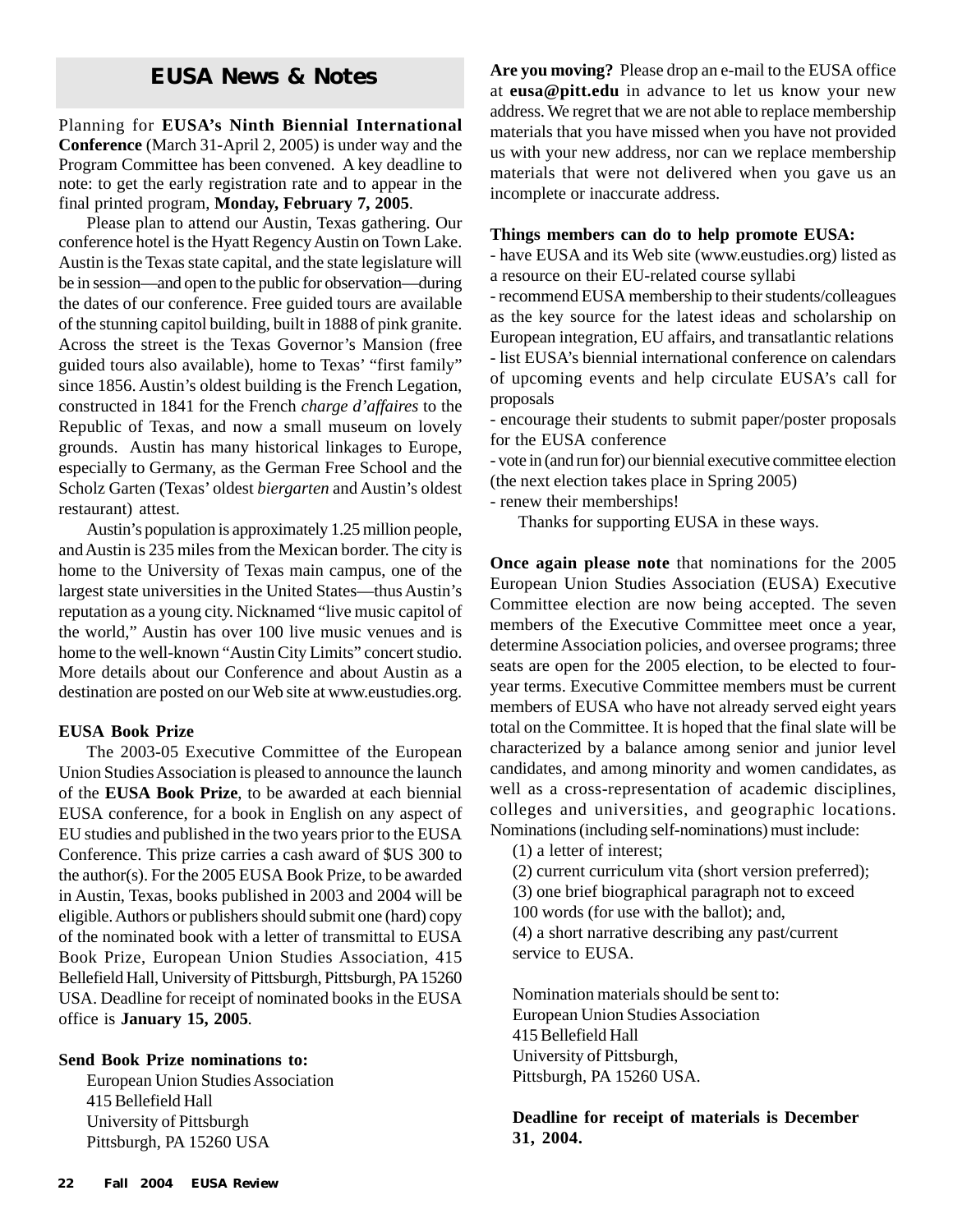Planning for **EUSA's Ninth Biennial International Conference** (March 31-April 2, 2005) is under way and the Program Committee has been convened. A key deadline to note: to get the early registration rate and to appear in the final printed program, **Monday, February 7, 2005**.

Please plan to attend our Austin, Texas gathering. Our conference hotel is the Hyatt Regency Austin on Town Lake. Austin is the Texas state capital, and the state legislature will be in session—and open to the public for observation—during the dates of our conference. Free guided tours are available of the stunning capitol building, built in 1888 of pink granite. Across the street is the Texas Governor's Mansion (free guided tours also available), home to Texas' "first family" since 1856. Austin's oldest building is the French Legation, constructed in 1841 for the French *charge d'affaires* to the Republic of Texas, and now a small museum on lovely grounds. Austin has many historical linkages to Europe, especially to Germany, as the German Free School and the Scholz Garten (Texas' oldest *biergarten* and Austin's oldest restaurant) attest.

Austin's population is approximately 1.25 million people, and Austin is 235 miles from the Mexican border. The city is home to the University of Texas main campus, one of the largest state universities in the United States—thus Austin's reputation as a young city. Nicknamed "live music capitol of the world," Austin has over 100 live music venues and is home to the well-known "Austin City Limits" concert studio. More details about our Conference and about Austin as a destination are posted on our Web site at www.eustudies.org.

#### **EUSA Book Prize**

The 2003-05 Executive Committee of the European Union Studies Association is pleased to announce the launch of the **EUSA Book Prize**, to be awarded at each biennial EUSA conference, for a book in English on any aspect of EU studies and published in the two years prior to the EUSA Conference. This prize carries a cash award of \$US 300 to the author(s). For the 2005 EUSA Book Prize, to be awarded in Austin, Texas, books published in 2003 and 2004 will be eligible. Authors or publishers should submit one (hard) copy of the nominated book with a letter of transmittal to EUSA Book Prize, European Union Studies Association, 415 Bellefield Hall, University of Pittsburgh, Pittsburgh, PA 15260 USA. Deadline for receipt of nominated books in the EUSA office is **January 15, 2005***.*

#### **Send Book Prize nominations to:**

European Union Studies Association 415 Bellefield Hall University of Pittsburgh Pittsburgh, PA 15260 USA

**EUSA News & Notes Are you moving?** Please drop an e-mail to the EUSA office at **eusa@pitt.edu** in advance to let us know your new address. We regret that we are not able to replace membership materials that you have missed when you have not provided us with your new address, nor can we replace membership materials that were not delivered when you gave us an incomplete or inaccurate address.

#### **Things members can do to help promote EUSA:**

- have EUSA and its Web site (www.eustudies.org) listed as a resource on their EU-related course syllabi

- recommend EUSA membership to their students/colleagues as the key source for the latest ideas and scholarship on European integration, EU affairs, and transatlantic relations - list EUSA's biennial international conference on calendars of upcoming events and help circulate EUSA's call for proposals

- encourage their students to submit paper/poster proposals for the EUSA conference

- vote in (and run for) our biennial executive committee election (the next election takes place in Spring 2005)

- renew their memberships!

Thanks for supporting EUSA in these ways.

**Once again please note** that nominations for the 2005 European Union Studies Association (EUSA) Executive Committee election are now being accepted. The seven members of the Executive Committee meet once a year, determine Association policies, and oversee programs; three seats are open for the 2005 election, to be elected to fouryear terms. Executive Committee members must be current members of EUSA who have not already served eight years total on the Committee. It is hoped that the final slate will be characterized by a balance among senior and junior level candidates, and among minority and women candidates, as well as a cross-representation of academic disciplines, colleges and universities, and geographic locations. Nominations (including self-nominations) must include:

(1) a letter of interest;

(2) current curriculum vita (short version preferred);

(3) one brief biographical paragraph not to exceed

100 words (for use with the ballot); and,

(4) a short narrative describing any past/current service to EUSA.

Nomination materials should be sent to: European Union Studies Association 415 Bellefield Hall University of Pittsburgh, Pittsburgh, PA 15260 USA.

**Deadline for receipt of materials is December 31, 2004.**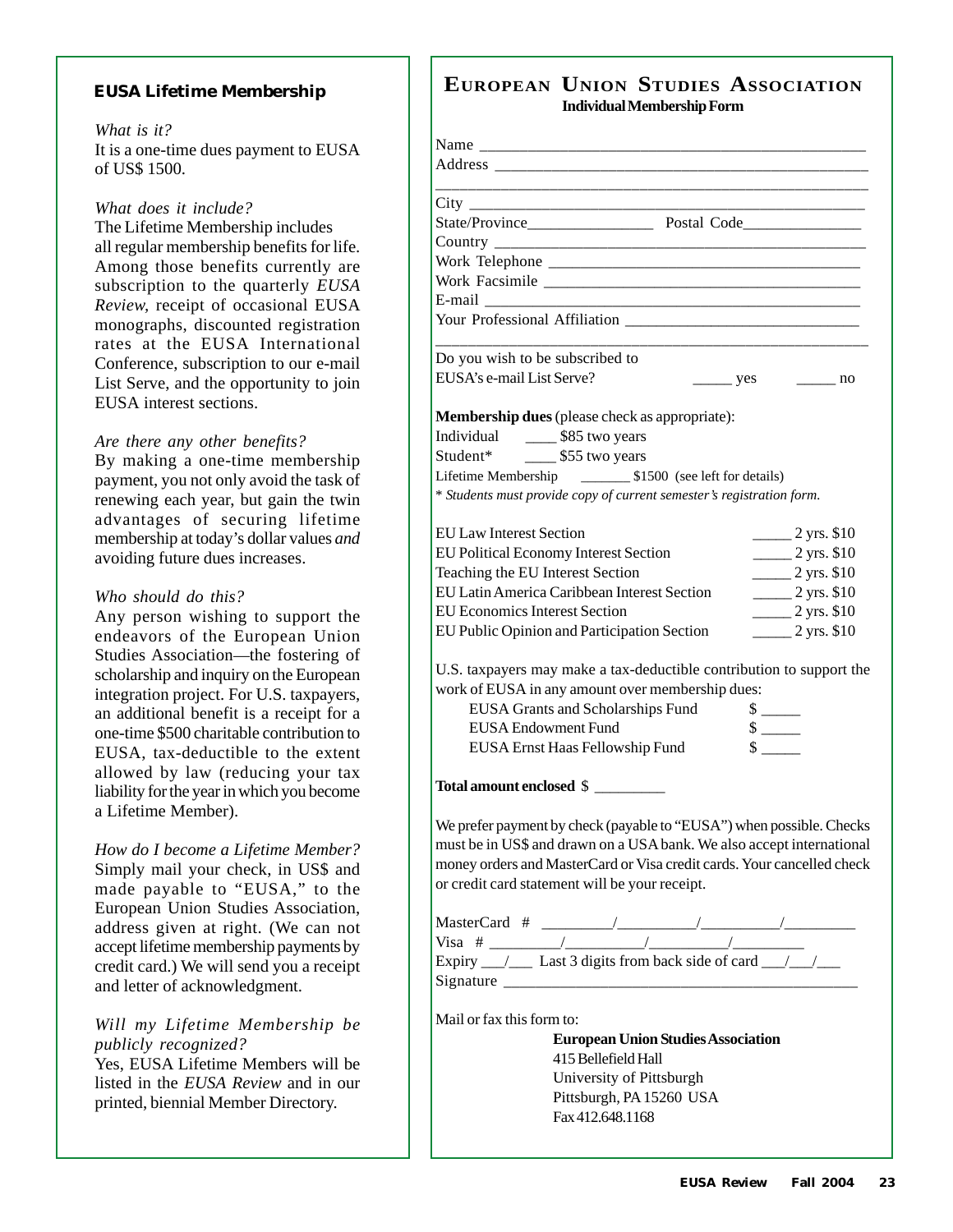#### **EUSA Lifetime Membership**

#### *What is it?*

It is a one-time dues payment to EUSA of US\$ 1500.

#### *What does it include?*

The Lifetime Membership includes all regular membership benefits for life. Among those benefits currently are subscription to the quarterly *EUSA Review,* receipt of occasional EUSA monographs, discounted registration rates at the EUSA International Conference, subscription to our e-mail List Serve, and the opportunity to join EUSA interest sections.

#### *Are there any other benefits?*

By making a one-time membership payment, you not only avoid the task of renewing each year, but gain the twin advantages of securing lifetime membership at today's dollar values *and* avoiding future dues increases.

#### *Who should do this?*

Any person wishing to support the endeavors of the European Union Studies Association—the fostering of scholarship and inquiry on the European integration project. For U.S. taxpayers, an additional benefit is a receipt for a one-time \$500 charitable contribution to EUSA, tax-deductible to the extent allowed by law (reducing your tax liability for the year in which you become a Lifetime Member).

*How do I become a Lifetime Member?* Simply mail your check, in US\$ and made payable to "EUSA," to the European Union Studies Association, address given at right. (We can not accept lifetime membership payments by credit card.) We will send you a receipt and letter of acknowledgment.

#### *Will my Lifetime Membership be publicly recognized?*

Yes, EUSA Lifetime Members will be listed in the *EUSA Review* and in our printed, biennial Member Directory.

### **EUROPEAN UNION STUDIES ASSOCIATION Individual Membership Form**

| City<br><u> 1980 - Jan Barbarat, manala</u>      |                                                                                                                                                                                                                                                                                                                                                                                                                           |
|--------------------------------------------------|---------------------------------------------------------------------------------------------------------------------------------------------------------------------------------------------------------------------------------------------------------------------------------------------------------------------------------------------------------------------------------------------------------------------------|
|                                                  |                                                                                                                                                                                                                                                                                                                                                                                                                           |
|                                                  |                                                                                                                                                                                                                                                                                                                                                                                                                           |
|                                                  |                                                                                                                                                                                                                                                                                                                                                                                                                           |
|                                                  |                                                                                                                                                                                                                                                                                                                                                                                                                           |
|                                                  |                                                                                                                                                                                                                                                                                                                                                                                                                           |
| Do you wish to be subscribed to                  |                                                                                                                                                                                                                                                                                                                                                                                                                           |
| EUSA's e-mail List Serve?                        | $\frac{\ }{\ }$ yes $\frac{\ }{\ }$ no                                                                                                                                                                                                                                                                                                                                                                                    |
| Membership dues (please check as appropriate):   |                                                                                                                                                                                                                                                                                                                                                                                                                           |
| Individual ________ \$85 two years               |                                                                                                                                                                                                                                                                                                                                                                                                                           |
| Student* ________ \$55 two years                 |                                                                                                                                                                                                                                                                                                                                                                                                                           |
|                                                  |                                                                                                                                                                                                                                                                                                                                                                                                                           |
|                                                  | * Students must provide copy of current semester's registration form.                                                                                                                                                                                                                                                                                                                                                     |
| <b>EU Law Interest Section</b>                   | $2 \text{ yrs. } $10$                                                                                                                                                                                                                                                                                                                                                                                                     |
| <b>EU Political Economy Interest Section</b>     | $2 \text{ yrs. } $10$                                                                                                                                                                                                                                                                                                                                                                                                     |
| Teaching the EU Interest Section                 | $2 \text{ yrs. } $10$                                                                                                                                                                                                                                                                                                                                                                                                     |
| EU Latin America Caribbean Interest Section      | $2 \text{ yrs. } $10$                                                                                                                                                                                                                                                                                                                                                                                                     |
| <b>EU Economics Interest Section</b>             | $2 \text{ yrs. } $10$                                                                                                                                                                                                                                                                                                                                                                                                     |
| EU Public Opinion and Participation Section      | $2 \text{ yrs. } $10$                                                                                                                                                                                                                                                                                                                                                                                                     |
|                                                  | U.S. taxpayers may make a tax-deductible contribution to support the                                                                                                                                                                                                                                                                                                                                                      |
| work of EUSA in any amount over membership dues: |                                                                                                                                                                                                                                                                                                                                                                                                                           |
| <b>EUSA Grants and Scholarships Fund</b>         | $\frac{\text{S}}{\text{}}$                                                                                                                                                                                                                                                                                                                                                                                                |
| <b>EUSA Endowment Fund</b>                       |                                                                                                                                                                                                                                                                                                                                                                                                                           |
| EUSA Ernst Haas Fellowship Fund                  |                                                                                                                                                                                                                                                                                                                                                                                                                           |
| Total amount enclosed \$                         |                                                                                                                                                                                                                                                                                                                                                                                                                           |
| or credit card statement will be your receipt.   | We prefer payment by check (payable to "EUSA") when possible. Checks<br>must be in US\$ and drawn on a USA bank. We also accept international<br>money orders and MasterCard or Visa credit cards. Your cancelled check                                                                                                                                                                                                   |
|                                                  | $\text{MasterCard} \# \_\_\_\_\_\_\_\_\_\_$                                                                                                                                                                                                                                                                                                                                                                               |
|                                                  | Signature $\frac{1}{\sqrt{1-\frac{1}{\sqrt{1-\frac{1}{\sqrt{1-\frac{1}{\sqrt{1-\frac{1}{\sqrt{1-\frac{1}{\sqrt{1-\frac{1}{\sqrt{1-\frac{1}{\sqrt{1-\frac{1}{\sqrt{1-\frac{1}{\sqrt{1-\frac{1}{\sqrt{1-\frac{1}{\sqrt{1-\frac{1}{\sqrt{1-\frac{1}{\sqrt{1-\frac{1}{\sqrt{1-\frac{1}{\sqrt{1-\frac{1}{\sqrt{1-\frac{1}{\sqrt{1-\frac{1}{\sqrt{1-\frac{1}{\sqrt{1-\frac{1}{\sqrt{1-\frac{1}{\sqrt{1-\frac{1}{\sqrt{1-\frac{$ |

415 Bellefield Hall University of Pittsburgh Pittsburgh, PA 15260 USA Fax 412.648.1168